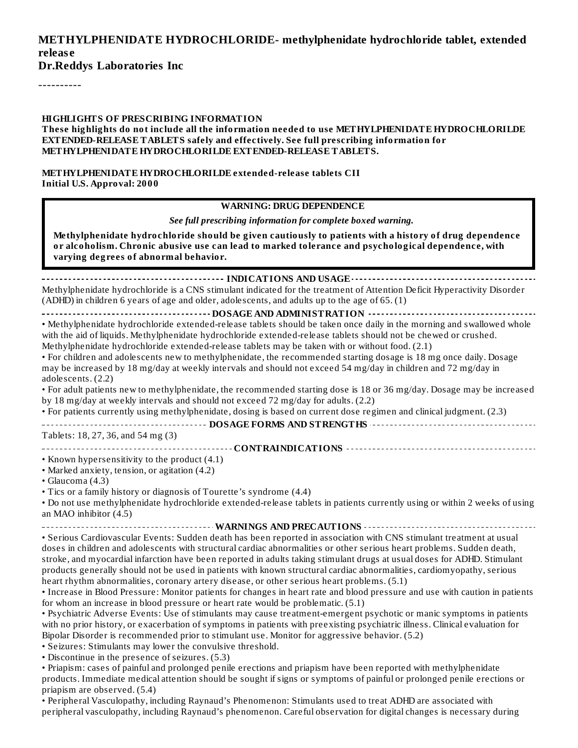### **METHYLPHENIDATE HYDROCHLORIDE- methylphenidate hydrochloride tablet, extended releas e**

**Dr.Reddys Laboratories Inc**

----------

#### **HIGHLIGHTS OF PRESCRIBING INFORMATION These highlights do not include all the information needed to use METHYLPHENIDATE HYDROCHLORILDE EXTENDED-RELEASE TABLETS safely and effectively. See full prescribing information for METHYLPHENIDATE HYDROCHLORILDE EXTENDED-RELEASE TABLETS.**

#### **METHYLPHENIDATE HYDROCHLORILDE extended-release tablets CII Initial U.S. Approval: 2000**

#### **WARNING: DRUG DEPENDENCE**

*See full prescribing information for complete boxed warning.*

**Methylphenidate hydrochloride should be given cautiously to patients with a history of drug dependence or alcoholism. Chronic abusive use can lead to marked tolerance and psychological dependence, with varying degrees of abnormal behavior.**

**INDICATIONS AND USAGE** Methylphenidate hydrochloride is a CNS stimulant indicated for the treatment of Attention Deficit Hyperactivity Disorder (ADHD) in children 6 years of age and older, adolescents, and adults up to the age of 65. (1) **DOSAGE AND ADMINISTRATION** • Methylphenidate hydrochloride extended-release tablets should be taken once daily in the morning and swallowed whole with the aid of liquids. Methylphenidate hydrochloride extended-release tablets should not be chewed or crushed. Methylphenidate hydrochloride extended-release tablets may be taken with or without food. (2.1) • For children and adolescents new to methylphenidate, the recommended starting dosage is 18 mg once daily. Dosage may be increased by 18 mg/day at weekly intervals and should not exceed 54 mg/day in children and 72 mg/day in adolescents. (2.2) • For adult patients new to methylphenidate, the recommended starting dose is 18 or 36 mg/day. Dosage may be increased by 18 mg/day at weekly intervals and should not exceed 72 mg/day for adults. (2.2) • For patients currently using methylphenidate, dosing is based on current dose regimen and clinical judgment. (2.3) **DOSAGE FORMS AND STRENGTHS** Tablets: 18, 27, 36, and 54 mg (3) **CONTRAINDICATIONS** • Known hypersensitivity to the product (4.1) • Marked anxiety, tension, or agitation (4.2) • Glaucoma (4.3) • Tics or a family history or diagnosis of Tourette's syndrome (4.4) • Do not use methylphenidate hydrochloride extended-release tablets in patients currently using or within 2 weeks of using an MAO inhibitor (4.5) **WARNINGS AND PRECAUTIONS** • Serious Cardiovascular Events: Sudden death has been reported in association with CNS stimulant treatment at usual doses in children and adolescents with structural cardiac abnormalities or other serious heart problems. Sudden death, stroke, and myocardial infarction have been reported in adults taking stimulant drugs at usual doses for ADHD. Stimulant products generally should not be used in patients with known structural cardiac abnormalities, cardiomyopathy, serious heart rhythm abnormalities, coronary artery disease, or other serious heart problems. (5.1) • Increase in Blood Pressure: Monitor patients for changes in heart rate and blood pressure and use with caution in patients for whom an increase in blood pressure or heart rate would be problematic. (5.1) • Psychiatric Adverse Events: Use of stimulants may cause treatment-emergent psychotic or manic symptoms in patients with no prior history, or exacerbation of symptoms in patients with preexisting psychiatric illness. Clinical evaluation for Bipolar Disorder is recommended prior to stimulant use. Monitor for aggressive behavior. (5.2) • Seizures: Stimulants may lower the convulsive threshold. • Discontinue in the presence of seizures. (5.3) • Priapism: cases of painful and prolonged penile erections and priapism have been reported with methylphenidate products. Immediate medical attention should be sought if signs or symptoms of painful or prolonged penile erections or priapism are observed. (5.4)

• Peripheral Vasculopathy, including Raynaud's Phenomenon: Stimulants used to treat ADHD are associated with peripheral vasculopathy, including Raynaud's phenomenon. Careful observation for digital changes is necessary during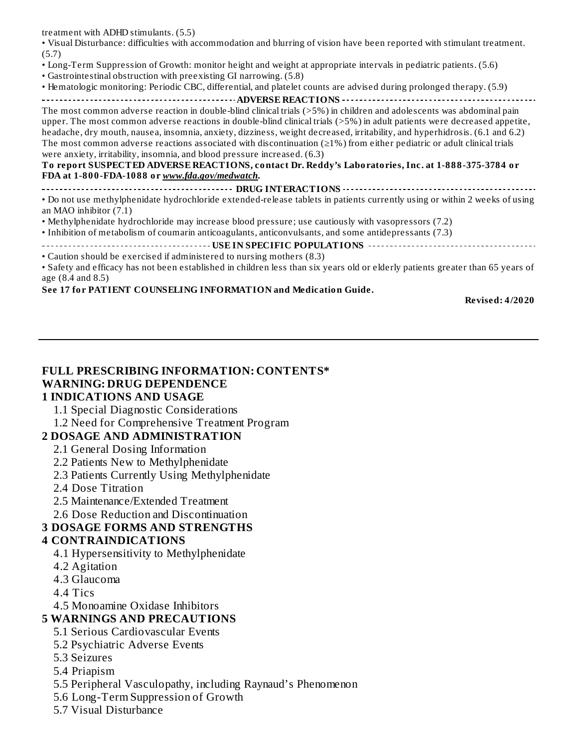treatment with ADHD stimulants. (5.5)

• Visual Disturbance: difficulties with accommodation and blurring of vision have been reported with stimulant treatment. (5.7)

- Long-Term Suppression of Growth: monitor height and weight at appropriate intervals in pediatric patients. (5.6)
- Gastrointestinal obstruction with preexisting GI narrowing. (5.8)
- Hematologic monitoring: Periodic CBC, differential, and platelet counts are advised during prolonged therapy. (5.9)

The most common adverse reaction in double-blind clinical trials (>5%) in children and adolescents was abdominal pain upper. The most common adverse reactions in double-blind clinical trials (>5%) in adult patients were decreased appetite, headache, dry mouth, nausea, insomnia, anxiety, dizziness, weight decreased, irritability, and hyperhidrosis. (6.1 and 6.2) The most common adverse reactions associated with discontinuation  $(≥1%)$  from either pediatric or adult clinical trials were anxiety, irritability, insomnia, and blood pressure increased. (6.3)

#### **To report SUSPECTED ADVERSE REACTIONS, contact Dr. Reddy's Laboratories, Inc. at 1-888-375-3784 or FDA at 1-800-FDA-1088 or** *www.fda.gov/medwatch***.**

**DRUG INTERACTIONS** • Do not use methylphenidate hydrochloride extended-release tablets in patients currently using or within 2 weeks of using an MAO inhibitor (7.1)

• Methylphenidate hydrochloride may increase blood pressure; use cautiously with vasopressors (7.2)

• Inhibition of metabolism of coumarin anticoagulants, anticonvulsants, and some antidepressants (7.3)

**USE IN SPECIFIC POPULATIONS** • Caution should be exercised if administered to nursing mothers (8.3)

• Safety and efficacy has not been established in children less than six years old or elderly patients greater than 65 years of age (8.4 and 8.5)

#### **See 17 for PATIENT COUNSELING INFORMATION and Medication Guide.**

**Revised: 4/2020**

# **FULL PRESCRIBING INFORMATION: CONTENTS\* WARNING: DRUG DEPENDENCE**

#### **1 INDICATIONS AND USAGE**

1.1 Special Diagnostic Considerations

1.2 Need for Comprehensive Treatment Program

#### **2 DOSAGE AND ADMINISTRATION**

- 2.1 General Dosing Information
- 2.2 Patients New to Methylphenidate
- 2.3 Patients Currently Using Methylphenidate
- 2.4 Dose Titration
- 2.5 Maintenance/Extended Treatment
- 2.6 Dose Reduction and Discontinuation

### **3 DOSAGE FORMS AND STRENGTHS**

#### **4 CONTRAINDICATIONS**

- 4.1 Hypersensitivity to Methylphenidate
- 4.2 Agitation
- 4.3 Glaucoma
- 4.4 Tics
- 4.5 Monoamine Oxidase Inhibitors

#### **5 WARNINGS AND PRECAUTIONS**

- 5.1 Serious Cardiovascular Events
- 5.2 Psychiatric Adverse Events
- 5.3 Seizures
- 5.4 Priapism
- 5.5 Peripheral Vasculopathy, including Raynaud's Phenomenon
- 5.6 Long-Term Suppression of Growth
- 5.7 Visual Disturbance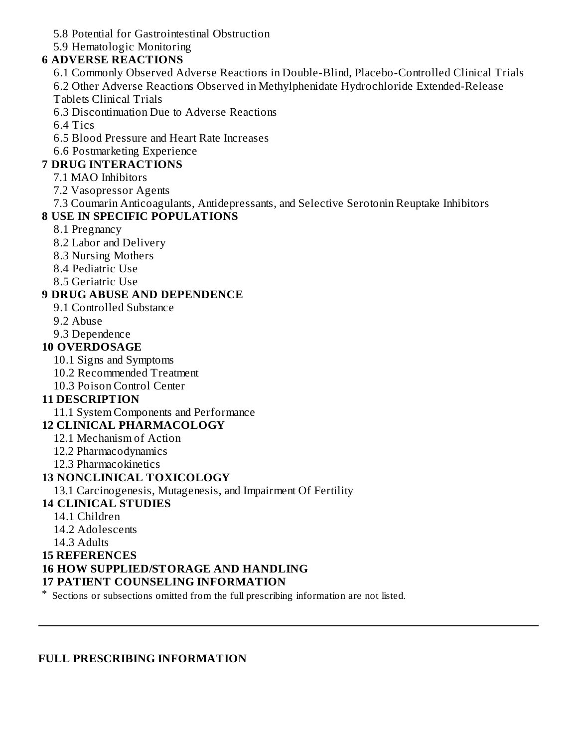5.8 Potential for Gastrointestinal Obstruction

5.9 Hematologic Monitoring

#### **6 ADVERSE REACTIONS**

6.1 Commonly Observed Adverse Reactions in Double-Blind, Placebo-Controlled Clinical Trials 6.2 Other Adverse Reactions Observed in Methylphenidate Hydrochloride Extended-Release Tablets Clinical Trials

6.3 Discontinuation Due to Adverse Reactions

6.4 Tics

6.5 Blood Pressure and Heart Rate Increases

6.6 Postmarketing Experience

#### **7 DRUG INTERACTIONS**

7.1 MAO Inhibitors

7.2 Vasopressor Agents

7.3 Coumarin Anticoagulants, Antidepressants, and Selective Serotonin Reuptake Inhibitors

### **8 USE IN SPECIFIC POPULATIONS**

- 8.1 Pregnancy
- 8.2 Labor and Delivery
- 8.3 Nursing Mothers
- 8.4 Pediatric Use
- 8.5 Geriatric Use

#### **9 DRUG ABUSE AND DEPENDENCE**

- 9.1 Controlled Substance
- 9.2 Abuse
- 9.3 Dependence

### **10 OVERDOSAGE**

- 10.1 Signs and Symptoms
- 10.2 Recommended Treatment
- 10.3 Poison Control Center

#### **11 DESCRIPTION**

11.1 System Components and Performance

### **12 CLINICAL PHARMACOLOGY**

- 12.1 Mechanism of Action
- 12.2 Pharmacodynamics
- 12.3 Pharmacokinetics

### **13 NONCLINICAL TOXICOLOGY**

13.1 Carcinogenesis, Mutagenesis, and Impairment Of Fertility

### **14 CLINICAL STUDIES**

14.1 Children

14.2 Adolescents

14.3 Adults

#### **15 REFERENCES**

### **16 HOW SUPPLIED/STORAGE AND HANDLING**

#### **17 PATIENT COUNSELING INFORMATION**

\* Sections or subsections omitted from the full prescribing information are not listed.

#### **FULL PRESCRIBING INFORMATION**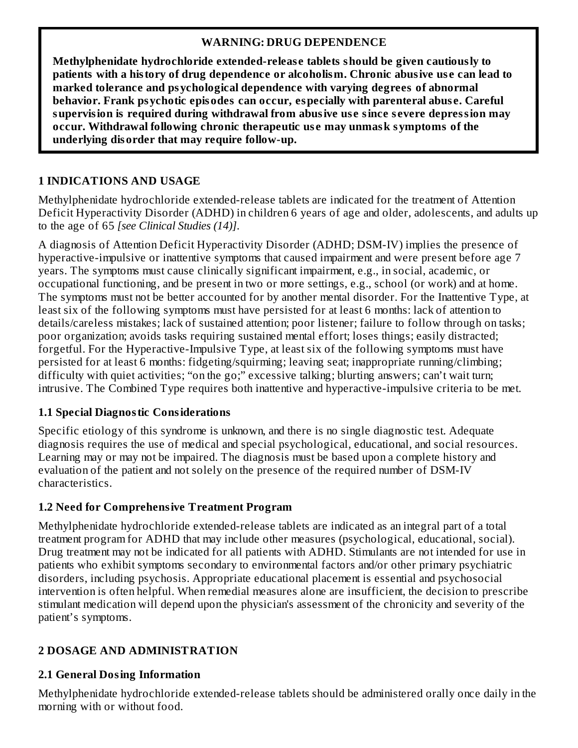#### **WARNING: DRUG DEPENDENCE**

**Methylphenidate hydrochloride extended-releas e tablets should be given cautiously to patients with a history of drug dependence or alcoholism. Chronic abusive us e can lead to marked tolerance and psychological dependence with varying degrees of abnormal behavior. Frank psychotic episodes can occur, especially with parenteral abus e. Careful supervision is required during withdrawal from abusive us e since s evere depression may occur. Withdrawal following chronic therapeutic us e may unmask symptoms of the underlying disorder that may require follow-up.**

#### **1 INDICATIONS AND USAGE**

Methylphenidate hydrochloride extended-release tablets are indicated for the treatment of Attention Deficit Hyperactivity Disorder (ADHD) in children 6 years of age and older, adolescents, and adults up to the age of 65 *[see Clinical Studies (14)]*.

A diagnosis of Attention Deficit Hyperactivity Disorder (ADHD; DSM-IV) implies the presence of hyperactive-impulsive or inattentive symptoms that caused impairment and were present before age 7 years. The symptoms must cause clinically significant impairment, e.g., in social, academic, or occupational functioning, and be present in two or more settings, e.g., school (or work) and at home. The symptoms must not be better accounted for by another mental disorder. For the Inattentive Type, at least six of the following symptoms must have persisted for at least 6 months: lack of attention to details/careless mistakes; lack of sustained attention; poor listener; failure to follow through on tasks; poor organization; avoids tasks requiring sustained mental effort; loses things; easily distracted; forgetful. For the Hyperactive-Impulsive Type, at least six of the following symptoms must have persisted for at least 6 months: fidgeting/squirming; leaving seat; inappropriate running/climbing; difficulty with quiet activities; "on the go;" excessive talking; blurting answers; can't wait turn; intrusive. The Combined Type requires both inattentive and hyperactive-impulsive criteria to be met.

#### **1.1 Special Diagnostic Considerations**

Specific etiology of this syndrome is unknown, and there is no single diagnostic test. Adequate diagnosis requires the use of medical and special psychological, educational, and social resources. Learning may or may not be impaired. The diagnosis must be based upon a complete history and evaluation of the patient and not solely on the presence of the required number of DSM-IV characteristics.

#### **1.2 Need for Comprehensive Treatment Program**

Methylphenidate hydrochloride extended-release tablets are indicated as an integral part of a total treatment program for ADHD that may include other measures (psychological, educational, social). Drug treatment may not be indicated for all patients with ADHD. Stimulants are not intended for use in patients who exhibit symptoms secondary to environmental factors and/or other primary psychiatric disorders, including psychosis. Appropriate educational placement is essential and psychosocial intervention is often helpful. When remedial measures alone are insufficient, the decision to prescribe stimulant medication will depend upon the physician's assessment of the chronicity and severity of the patient's symptoms.

#### **2 DOSAGE AND ADMINISTRATION**

#### **2.1 General Dosing Information**

Methylphenidate hydrochloride extended-release tablets should be administered orally once daily in the morning with or without food.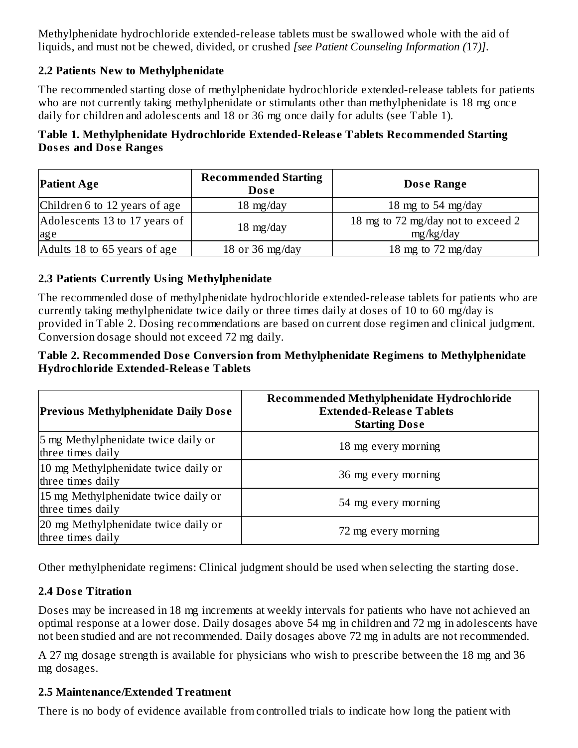Methylphenidate hydrochloride extended-release tablets must be swallowed whole with the aid of liquids, and must not be chewed, divided, or crushed *[see Patient Counseling Information (*17*)]*.

### **2.2 Patients New to Methylphenidate**

The recommended starting dose of methylphenidate hydrochloride extended-release tablets for patients who are not currently taking methylphenidate or stimulants other than methylphenidate is 18 mg once daily for children and adolescents and 18 or 36 mg once daily for adults (see Table 1).

#### **Table 1. Methylphenidate Hydrochloride Extended-Releas e Tablets Recommended Starting Dos es and Dos e Ranges**

| <b>Patient Age</b>                   | <b>Recommended Starting</b><br><b>Dose</b> | Dose Range                                      |  |
|--------------------------------------|--------------------------------------------|-------------------------------------------------|--|
| Children 6 to 12 years of age        | $18 \text{ mg/day}$                        | 18 mg to 54 mg/day                              |  |
| Adolescents 13 to 17 years of<br>age | $18 \text{ mg/day}$                        | 18 mg to 72 mg/day not to exceed 2<br>mg/kg/day |  |
| Adults 18 to 65 years of age         | 18 or 36 mg/day                            | 18 mg to $72 \text{ mg/day}$                    |  |

#### **2.3 Patients Currently Using Methylphenidate**

The recommended dose of methylphenidate hydrochloride extended-release tablets for patients who are currently taking methylphenidate twice daily or three times daily at doses of 10 to 60 mg/day is provided in Table 2. Dosing recommendations are based on current dose regimen and clinical judgment. Conversion dosage should not exceed 72 mg daily.

#### **Table 2. Recommended Dos e Conversion from Methylphenidate Regimens to Methylphenidate Hydrochloride Extended-Releas e Tablets**

| <b>Previous Methylphenidate Daily Dose</b>                | Recommended Methylphenidate Hydrochloride<br><b>Extended-Release Tablets</b><br><b>Starting Dose</b> |
|-----------------------------------------------------------|------------------------------------------------------------------------------------------------------|
| 5 mg Methylphenidate twice daily or<br>three times daily  | 18 mg every morning                                                                                  |
| 10 mg Methylphenidate twice daily or<br>three times daily | 36 mg every morning                                                                                  |
| 15 mg Methylphenidate twice daily or<br>three times daily | 54 mg every morning                                                                                  |
| 20 mg Methylphenidate twice daily or<br>three times daily | 72 mg every morning                                                                                  |

Other methylphenidate regimens: Clinical judgment should be used when selecting the starting dose.

### **2.4 Dos e Titration**

Doses may be increased in 18 mg increments at weekly intervals for patients who have not achieved an optimal response at a lower dose. Daily dosages above 54 mg in children and 72 mg in adolescents have not been studied and are not recommended. Daily dosages above 72 mg in adults are not recommended.

A 27 mg dosage strength is available for physicians who wish to prescribe between the 18 mg and 36 mg dosages.

#### **2.5 Maintenance/Extended Treatment**

There is no body of evidence available from controlled trials to indicate how long the patient with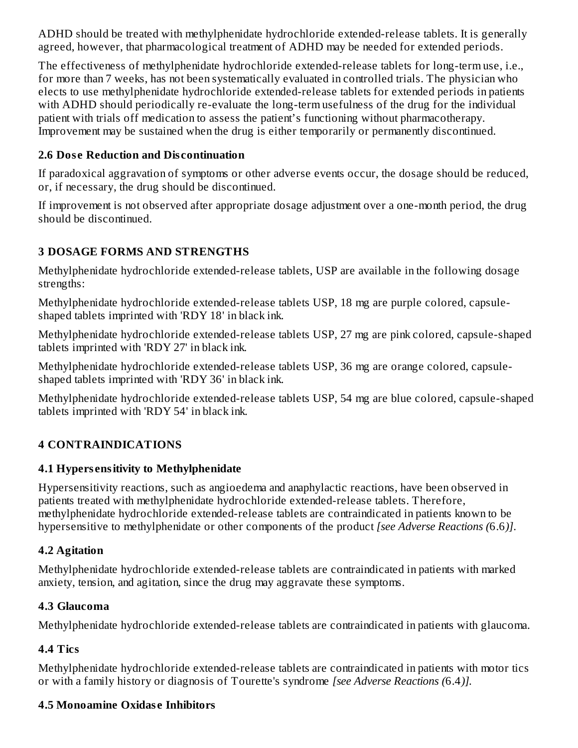ADHD should be treated with methylphenidate hydrochloride extended-release tablets. It is generally agreed, however, that pharmacological treatment of ADHD may be needed for extended periods.

The effectiveness of methylphenidate hydrochloride extended-release tablets for long-term use, i.e., for more than 7 weeks, has not been systematically evaluated in controlled trials. The physician who elects to use methylphenidate hydrochloride extended-release tablets for extended periods in patients with ADHD should periodically re-evaluate the long-term usefulness of the drug for the individual patient with trials off medication to assess the patient's functioning without pharmacotherapy. Improvement may be sustained when the drug is either temporarily or permanently discontinued.

#### **2.6 Dos e Reduction and Dis continuation**

If paradoxical aggravation of symptoms or other adverse events occur, the dosage should be reduced, or, if necessary, the drug should be discontinued.

If improvement is not observed after appropriate dosage adjustment over a one-month period, the drug should be discontinued.

#### **3 DOSAGE FORMS AND STRENGTHS**

Methylphenidate hydrochloride extended-release tablets, USP are available in the following dosage strengths:

Methylphenidate hydrochloride extended-release tablets USP, 18 mg are purple colored, capsuleshaped tablets imprinted with 'RDY 18' in black ink.

Methylphenidate hydrochloride extended-release tablets USP, 27 mg are pink colored, capsule-shaped tablets imprinted with 'RDY 27' in black ink.

Methylphenidate hydrochloride extended-release tablets USP, 36 mg are orange colored, capsuleshaped tablets imprinted with 'RDY 36' in black ink.

Methylphenidate hydrochloride extended-release tablets USP, 54 mg are blue colored, capsule-shaped tablets imprinted with 'RDY 54' in black ink.

#### **4 CONTRAINDICATIONS**

#### **4.1 Hypers ensitivity to Methylphenidate**

Hypersensitivity reactions, such as angioedema and anaphylactic reactions, have been observed in patients treated with methylphenidate hydrochloride extended-release tablets. Therefore, methylphenidate hydrochloride extended-release tablets are contraindicated in patients known to be hypersensitive to methylphenidate or other components of the product *[see Adverse Reactions (*6.6*)]*.

#### **4.2 Agitation**

Methylphenidate hydrochloride extended-release tablets are contraindicated in patients with marked anxiety, tension, and agitation, since the drug may aggravate these symptoms.

#### **4.3 Glaucoma**

Methylphenidate hydrochloride extended-release tablets are contraindicated in patients with glaucoma.

#### **4.4 Tics**

Methylphenidate hydrochloride extended-release tablets are contraindicated in patients with motor tics or with a family history or diagnosis of Tourette's syndrome *[see Adverse Reactions (*6.4*)].*

#### **4.5 Monoamine Oxidas e Inhibitors**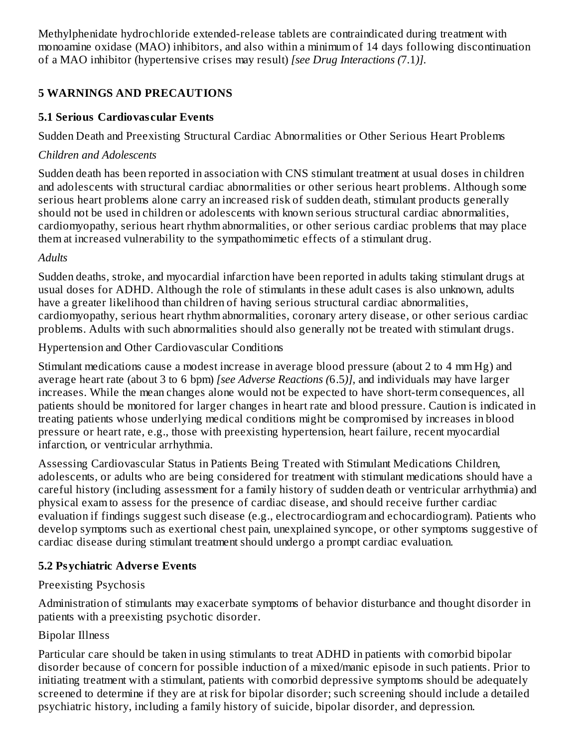Methylphenidate hydrochloride extended-release tablets are contraindicated during treatment with monoamine oxidase (MAO) inhibitors, and also within a minimum of 14 days following discontinuation of a MAO inhibitor (hypertensive crises may result) *[see Drug Interactions (*7.1*)].*

### **5 WARNINGS AND PRECAUTIONS**

### **5.1 Serious Cardiovas cular Events**

Sudden Death and Preexisting Structural Cardiac Abnormalities or Other Serious Heart Problems

### *Children and Adolescents*

Sudden death has been reported in association with CNS stimulant treatment at usual doses in children and adolescents with structural cardiac abnormalities or other serious heart problems. Although some serious heart problems alone carry an increased risk of sudden death, stimulant products generally should not be used in children or adolescents with known serious structural cardiac abnormalities, cardiomyopathy, serious heart rhythm abnormalities, or other serious cardiac problems that may place them at increased vulnerability to the sympathomimetic effects of a stimulant drug.

### *Adults*

Sudden deaths, stroke, and myocardial infarction have been reported in adults taking stimulant drugs at usual doses for ADHD. Although the role of stimulants in these adult cases is also unknown, adults have a greater likelihood than children of having serious structural cardiac abnormalities, cardiomyopathy, serious heart rhythm abnormalities, coronary artery disease, or other serious cardiac problems. Adults with such abnormalities should also generally not be treated with stimulant drugs.

Hypertension and Other Cardiovascular Conditions

Stimulant medications cause a modest increase in average blood pressure (about 2 to 4 mm Hg) and average heart rate (about 3 to 6 bpm) *[see Adverse Reactions (*6.5*)],* and individuals may have larger increases. While the mean changes alone would not be expected to have short-term consequences, all patients should be monitored for larger changes in heart rate and blood pressure. Caution is indicated in treating patients whose underlying medical conditions might be compromised by increases in blood pressure or heart rate, e.g., those with preexisting hypertension, heart failure, recent myocardial infarction, or ventricular arrhythmia.

Assessing Cardiovascular Status in Patients Being Treated with Stimulant Medications Children, adolescents, or adults who are being considered for treatment with stimulant medications should have a careful history (including assessment for a family history of sudden death or ventricular arrhythmia) and physical exam to assess for the presence of cardiac disease, and should receive further cardiac evaluation if findings suggest such disease (e.g., electrocardiogram and echocardiogram). Patients who develop symptoms such as exertional chest pain, unexplained syncope, or other symptoms suggestive of cardiac disease during stimulant treatment should undergo a prompt cardiac evaluation.

### **5.2 Psychiatric Advers e Events**

### Preexisting Psychosis

Administration of stimulants may exacerbate symptoms of behavior disturbance and thought disorder in patients with a preexisting psychotic disorder.

### Bipolar Illness

Particular care should be taken in using stimulants to treat ADHD in patients with comorbid bipolar disorder because of concern for possible induction of a mixed/manic episode in such patients. Prior to initiating treatment with a stimulant, patients with comorbid depressive symptoms should be adequately screened to determine if they are at risk for bipolar disorder; such screening should include a detailed psychiatric history, including a family history of suicide, bipolar disorder, and depression.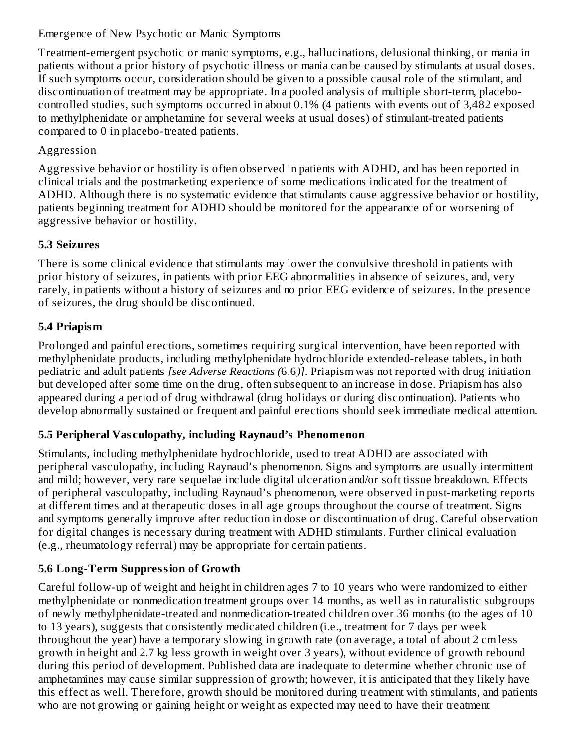#### Emergence of New Psychotic or Manic Symptoms

Treatment-emergent psychotic or manic symptoms, e.g., hallucinations, delusional thinking, or mania in patients without a prior history of psychotic illness or mania can be caused by stimulants at usual doses. If such symptoms occur, consideration should be given to a possible causal role of the stimulant, and discontinuation of treatment may be appropriate. In a pooled analysis of multiple short-term, placebocontrolled studies, such symptoms occurred in about 0.1% (4 patients with events out of 3,482 exposed to methylphenidate or amphetamine for several weeks at usual doses) of stimulant-treated patients compared to 0 in placebo-treated patients.

### Aggression

Aggressive behavior or hostility is often observed in patients with ADHD, and has been reported in clinical trials and the postmarketing experience of some medications indicated for the treatment of ADHD. Although there is no systematic evidence that stimulants cause aggressive behavior or hostility, patients beginning treatment for ADHD should be monitored for the appearance of or worsening of aggressive behavior or hostility.

#### **5.3 Seizures**

There is some clinical evidence that stimulants may lower the convulsive threshold in patients with prior history of seizures, in patients with prior EEG abnormalities in absence of seizures, and, very rarely, in patients without a history of seizures and no prior EEG evidence of seizures. In the presence of seizures, the drug should be discontinued.

### **5.4 Priapism**

Prolonged and painful erections, sometimes requiring surgical intervention, have been reported with methylphenidate products, including methylphenidate hydrochloride extended-release tablets, in both pediatric and adult patients *[see Adverse Reactions (*6.6*)]*. Priapism was not reported with drug initiation but developed after some time on the drug, often subsequent to an increase in dose. Priapism has also appeared during a period of drug withdrawal (drug holidays or during discontinuation). Patients who develop abnormally sustained or frequent and painful erections should seek immediate medical attention.

#### **5.5 Peripheral Vas culopathy, including Raynaud's Phenomenon**

Stimulants, including methylphenidate hydrochloride, used to treat ADHD are associated with peripheral vasculopathy, including Raynaud's phenomenon. Signs and symptoms are usually intermittent and mild; however, very rare sequelae include digital ulceration and/or soft tissue breakdown. Effects of peripheral vasculopathy, including Raynaud's phenomenon, were observed in post-marketing reports at different times and at therapeutic doses in all age groups throughout the course of treatment. Signs and symptoms generally improve after reduction in dose or discontinuation of drug. Careful observation for digital changes is necessary during treatment with ADHD stimulants. Further clinical evaluation (e.g., rheumatology referral) may be appropriate for certain patients.

### **5.6 Long-Term Suppression of Growth**

Careful follow-up of weight and height in children ages 7 to 10 years who were randomized to either methylphenidate or nonmedication treatment groups over 14 months, as well as in naturalistic subgroups of newly methylphenidate-treated and nonmedication-treated children over 36 months (to the ages of 10 to 13 years), suggests that consistently medicated children (i.e., treatment for 7 days per week throughout the year) have a temporary slowing in growth rate (on average, a total of about 2 cm less growth in height and 2.7 kg less growth in weight over 3 years), without evidence of growth rebound during this period of development. Published data are inadequate to determine whether chronic use of amphetamines may cause similar suppression of growth; however, it is anticipated that they likely have this effect as well. Therefore, growth should be monitored during treatment with stimulants, and patients who are not growing or gaining height or weight as expected may need to have their treatment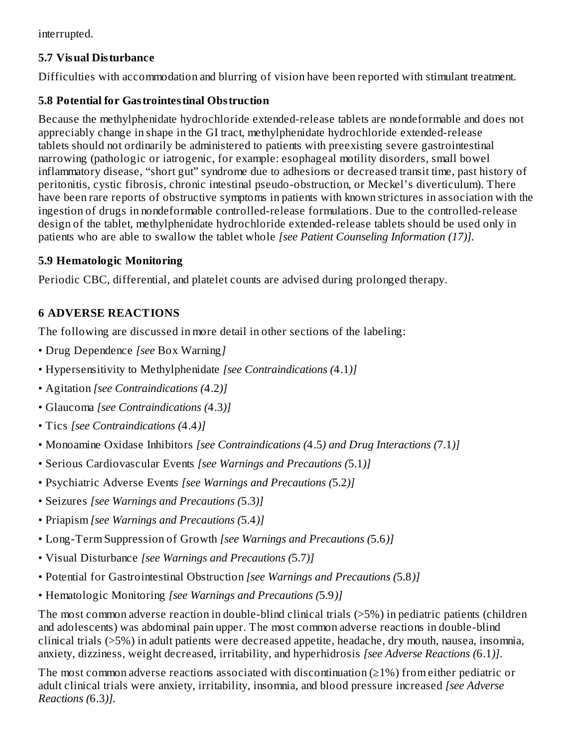interrupted.

### **5.7 Visual Disturbance**

Difficulties with accommodation and blurring of vision have been reported with stimulant treatment.

### **5.8 Potential for Gastrointestinal Obstruction**

Because the methylphenidate hydrochloride extended-release tablets are nondeformable and does not appreciably change in shape in the GI tract, methylphenidate hydrochloride extended-release tablets should not ordinarily be administered to patients with preexisting severe gastrointestinal narrowing (pathologic or iatrogenic, for example: esophageal motility disorders, small bowel inflammatory disease, "short gut" syndrome due to adhesions or decreased transit time, past history of peritonitis, cystic fibrosis, chronic intestinal pseudo-obstruction, or Meckel's diverticulum). There have been rare reports of obstructive symptoms in patients with known strictures in association with the ingestion of drugs in nondeformable controlled-release formulations. Due to the controlled-release design of the tablet, methylphenidate hydrochloride extended-release tablets should be used only in patients who are able to swallow the tablet whole *[see Patient Counseling Information (17)].*

### **5.9 Hematologic Monitoring**

Periodic CBC, differential, and platelet counts are advised during prolonged therapy.

### **6 ADVERSE REACTIONS**

The following are discussed in more detail in other sections of the labeling:

- Drug Dependence *[see* Box Warning*]*
- Hypersensitivity to Methylphenidate *[see Contraindications (*4.1*)]*
- Agitation *[see Contraindications (*4.2*)]*
- Glaucoma *[see Contraindications (*4.3*)]*
- Tics *[see Contraindications (*4.4*)]*
- Monoamine Oxidase Inhibitors *[see Contraindications (*4.5*) and Drug Interactions (*7.1*)]*
- Serious Cardiovascular Events *[see Warnings and Precautions (*5.1*)]*
- Psychiatric Adverse Events *[see Warnings and Precautions (*5.2*)]*
- Seizures *[see Warnings and Precautions (*5.3*)]*
- Priapism *[see Warnings and Precautions (*5.4*)]*
- Long-Term Suppression of Growth *[see Warnings and Precautions (*5.6*)]*
- Visual Disturbance *[see Warnings and Precautions (*5.7*)]*
- Potential for Gastrointestinal Obstruction *[see Warnings and Precautions (*5.8*)]*
- Hematologic Monitoring *[see Warnings and Precautions (*5.9*)]*

The most common adverse reaction in double-blind clinical trials (>5%) in pediatric patients (children and adolescents) was abdominal pain upper. The most common adverse reactions in double-blind clinical trials (>5%) in adult patients were decreased appetite, headache, dry mouth, nausea, insomnia, anxiety, dizziness, weight decreased, irritability, and hyperhidrosis *[see Adverse Reactions (*6.1*)]*.

The most common adverse reactions associated with discontinuation ( $\geq$ 1%) from either pediatric or adult clinical trials were anxiety, irritability, insomnia, and blood pressure increased *[see Adverse Reactions (*6.3*)].*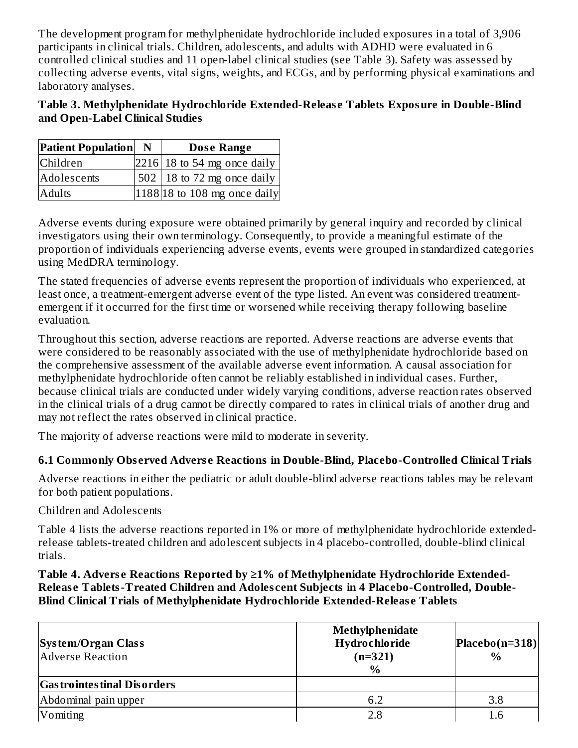The development program for methylphenidate hydrochloride included exposures in a total of 3,906 participants in clinical trials. Children, adolescents, and adults with ADHD were evaluated in 6 controlled clinical studies and 11 open-label clinical studies (see Table 3). Safety was assessed by collecting adverse events, vital signs, weights, and ECGs, and by performing physical examinations and laboratory analyses.

#### **Table 3. Methylphenidate Hydrochloride Extended-Releas e Tablets Exposure in Double-Blind and Open-Label Clinical Studies**

| <b>Patient Population</b> N | <b>Dose Range</b>               |
|-----------------------------|---------------------------------|
| Children                    | $2216$ 18 to 54 mg once daily   |
| Adolescents                 | $1502$   18 to 72 mg once daily |
| <b>Adults</b>               | $ 1188 18$ to 108 mg once daily |

Adverse events during exposure were obtained primarily by general inquiry and recorded by clinical investigators using their own terminology. Consequently, to provide a meaningful estimate of the proportion of individuals experiencing adverse events, events were grouped in standardized categories using MedDRA terminology.

The stated frequencies of adverse events represent the proportion of individuals who experienced, at least once, a treatment-emergent adverse event of the type listed. An event was considered treatmentemergent if it occurred for the first time or worsened while receiving therapy following baseline evaluation.

Throughout this section, adverse reactions are reported. Adverse reactions are adverse events that were considered to be reasonably associated with the use of methylphenidate hydrochloride based on the comprehensive assessment of the available adverse event information. A causal association for methylphenidate hydrochloride often cannot be reliably established in individual cases. Further, because clinical trials are conducted under widely varying conditions, adverse reaction rates observed in the clinical trials of a drug cannot be directly compared to rates in clinical trials of another drug and may not reflect the rates observed in clinical practice.

The majority of adverse reactions were mild to moderate in severity.

#### **6.1 Commonly Obs erved Advers e Reactions in Double-Blind, Placebo-Controlled Clinical Trials**

Adverse reactions in either the pediatric or adult double-blind adverse reactions tables may be relevant for both patient populations.

Children and Adolescents

Table 4 lists the adverse reactions reported in 1% or more of methylphenidate hydrochloride extendedrelease tablets-treated children and adolescent subjects in 4 placebo-controlled, double-blind clinical trials.

**Table 4. Advers e Reactions Reported by ≥1% of Methylphenidate Hydrochloride Extended-Releas e Tablets-Treated Children and Adoles cent Subjects in 4 Placebo-Controlled, Double-Blind Clinical Trials of Methylphenidate Hydrochloride Extended-Releas e Tablets**

| <b>System/Organ Class</b><br><b>Adverse Reaction</b> | Methylphenidate<br>Hydrochloride<br>$(n=321)$<br>$\frac{0}{0}$ | $Placebo(n=318)$<br>$\%$ |  |
|------------------------------------------------------|----------------------------------------------------------------|--------------------------|--|
| <b>Gas trointes tinal Dis orders</b>                 |                                                                |                          |  |
| Abdominal pain upper                                 | 6.2                                                            | 3.8                      |  |
| Vomiting                                             | 2.8                                                            | 1.6                      |  |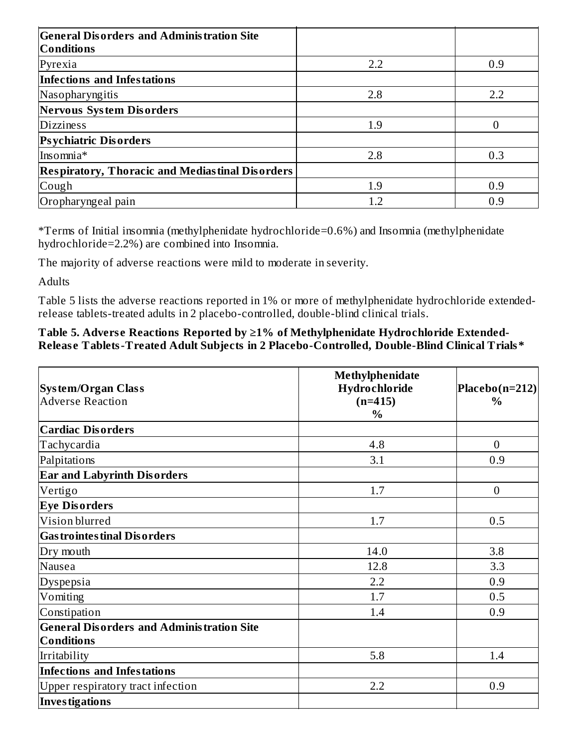| <b>General Disorders and Administration Site</b>       |     |     |
|--------------------------------------------------------|-----|-----|
| <b>Conditions</b>                                      |     |     |
| Pyrexia                                                | 2.2 | 0.9 |
| Infections and Infestations                            |     |     |
| Nasopharyngitis                                        | 2.8 | 2.2 |
| Nervous System Disorders                               |     |     |
| <b>Dizziness</b>                                       | 1.9 | 0   |
| <b>Psychiatric Disorders</b>                           |     |     |
| Insomnia*                                              | 2.8 | 0.3 |
| <b>Respiratory, Thoracic and Mediastinal Disorders</b> |     |     |
| Cough                                                  | 1.9 | 0.9 |
| Oropharyngeal pain                                     | 1.2 | 0.9 |

\*Terms of Initial insomnia (methylphenidate hydrochloride=0.6%) and Insomnia (methylphenidate hydrochloride=2.2%) are combined into Insomnia.

The majority of adverse reactions were mild to moderate in severity.

Adults

Table 5 lists the adverse reactions reported in 1% or more of methylphenidate hydrochloride extendedrelease tablets-treated adults in 2 placebo-controlled, double-blind clinical trials.

#### **Table 5. Advers e Reactions Reported by ≥1% of Methylphenidate Hydrochloride Extended-Releas e Tablets-Treated Adult Subjects in 2 Placebo-Controlled, Double-Blind Clinical Trials\***

| <b>System/Organ Class</b>                                             | Methylphenidate<br>Hydrochloride | Placebo(n=212)   |
|-----------------------------------------------------------------------|----------------------------------|------------------|
| <b>Adverse Reaction</b>                                               | $(n=415)$                        | $\frac{0}{0}$    |
|                                                                       | $\frac{0}{0}$                    |                  |
| <b>Cardiac Disorders</b>                                              |                                  |                  |
| Tachycardia                                                           | 4.8                              | $\overline{0}$   |
| Palpitations                                                          | 3.1                              | 0.9              |
| <b>Ear and Labyrinth Disorders</b>                                    |                                  |                  |
| Vertigo                                                               | 1.7                              | $\boldsymbol{0}$ |
| <b>Eye Disorders</b>                                                  |                                  |                  |
| Vision blurred                                                        | 1.7                              | 0.5              |
| <b>Gas trointes tinal Dis orders</b>                                  |                                  |                  |
| Dry mouth                                                             | 14.0                             | 3.8              |
| Nausea                                                                | 12.8                             | 3.3              |
| Dyspepsia                                                             | 2.2                              | 0.9              |
| Vomiting                                                              | 1.7                              | 0.5              |
| Constipation                                                          | 1.4                              | 0.9              |
| <b>General Disorders and Administration Site</b><br><b>Conditions</b> |                                  |                  |
| Irritability                                                          | 5.8                              | 1.4              |
| Infections and Infestations                                           |                                  |                  |
| Upper respiratory tract infection                                     | 2.2                              | 0.9              |
| Investigations                                                        |                                  |                  |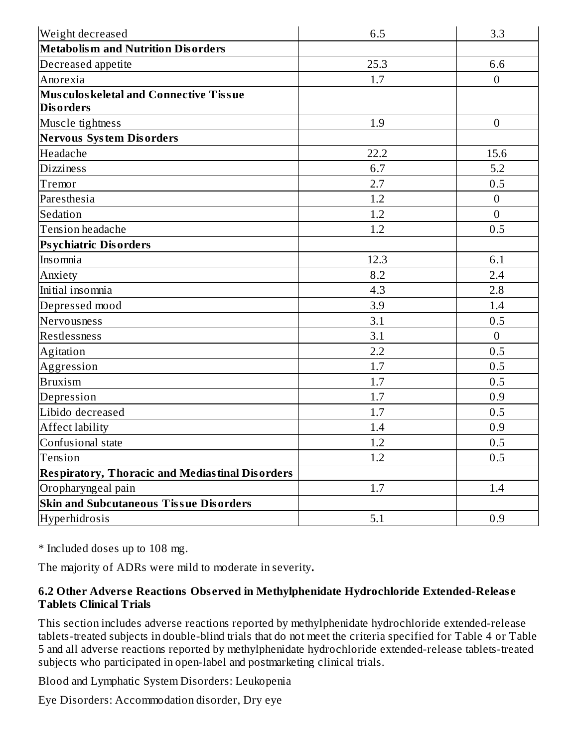| Weight decreased                                       | 6.5     | 3.3              |
|--------------------------------------------------------|---------|------------------|
| Metabolism and Nutrition Disorders                     |         |                  |
| Decreased appetite                                     | 25.3    | 6.6              |
| Anorexia                                               | 1.7     | $\overline{0}$   |
| <b>Musculoskeletal and Connective Tissue</b>           |         |                  |
| <b>Disorders</b>                                       |         |                  |
| Muscle tightness                                       | 1.9     | $\boldsymbol{0}$ |
| <b>Nervous System Disorders</b>                        |         |                  |
| Headache                                               | 22.2    | 15.6             |
| <b>Dizziness</b>                                       | 6.7     | 5.2              |
| Tremor                                                 | 2.7     | 0.5              |
| Paresthesia                                            | 1.2     | $\boldsymbol{0}$ |
| Sedation                                               | 1.2     | $\overline{0}$   |
| Tension headache                                       | 1.2     | 0.5              |
| <b>Psychiatric Disorders</b>                           |         |                  |
| Insomnia                                               | 12.3    | 6.1              |
| Anxiety                                                | 8.2     | 2.4              |
| Initial insomnia                                       | 4.3     | 2.8              |
| Depressed mood                                         | 3.9     | 1.4              |
| Nervousness                                            | 3.1     | 0.5              |
| <b>Restlessness</b>                                    | 3.1     | $\mathbf{0}$     |
| Agitation                                              | 2.2     | 0.5              |
| Aggression                                             | 1.7     | 0.5              |
| <b>Bruxism</b>                                         | 1.7     | 0.5              |
| Depression                                             | 1.7     | 0.9              |
| Libido decreased                                       | 1.7     | 0.5              |
| Affect lability                                        | 1.4     | 0.9              |
| Confusional state                                      | 1.2     | 0.5              |
| Tension                                                | 1.2     | 0.5              |
| <b>Respiratory, Thoracic and Mediastinal Disorders</b> |         |                  |
| Oropharyngeal pain                                     | $1.7\,$ | 1.4              |
| <b>Skin and Subcutaneous Tissue Disorders</b>          |         |                  |
| Hyperhidrosis                                          | 5.1     | 0.9              |

\* Included doses up to 108 mg.

The majority of ADRs were mild to moderate in severity**.**

#### **6.2 Other Advers e Reactions Obs erved in Methylphenidate Hydrochloride Extended-Releas e Tablets Clinical Trials**

This section includes adverse reactions reported by methylphenidate hydrochloride extended-release tablets-treated subjects in double-blind trials that do not meet the criteria specified for Table 4 or Table 5 and all adverse reactions reported by methylphenidate hydrochloride extended-release tablets-treated subjects who participated in open-label and postmarketing clinical trials.

Blood and Lymphatic System Disorders: Leukopenia

Eye Disorders: Accommodation disorder, Dry eye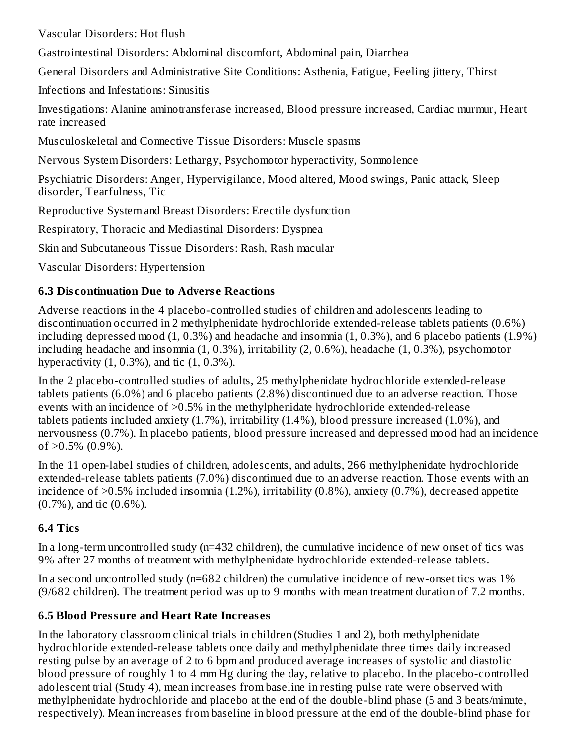Vascular Disorders: Hot flush

Gastrointestinal Disorders: Abdominal discomfort, Abdominal pain, Diarrhea

General Disorders and Administrative Site Conditions: Asthenia, Fatigue, Feeling jittery, Thirst

Infections and Infestations: Sinusitis

Investigations: Alanine aminotransferase increased, Blood pressure increased, Cardiac murmur, Heart rate increased

Musculoskeletal and Connective Tissue Disorders: Muscle spasms

Nervous System Disorders: Lethargy, Psychomotor hyperactivity, Somnolence

Psychiatric Disorders: Anger, Hypervigilance, Mood altered, Mood swings, Panic attack, Sleep disorder, Tearfulness, Tic

Reproductive System and Breast Disorders: Erectile dysfunction

Respiratory, Thoracic and Mediastinal Disorders: Dyspnea

Skin and Subcutaneous Tissue Disorders: Rash, Rash macular

Vascular Disorders: Hypertension

### **6.3 Dis continuation Due to Advers e Reactions**

Adverse reactions in the 4 placebo-controlled studies of children and adolescents leading to discontinuation occurred in 2 methylphenidate hydrochloride extended-release tablets patients (0.6%) including depressed mood (1, 0.3%) and headache and insomnia (1, 0.3%), and 6 placebo patients (1.9%) including headache and insomnia (1, 0.3%), irritability (2, 0.6%), headache (1, 0.3%), psychomotor hyperactivity (1, 0.3%), and tic (1, 0.3%).

In the 2 placebo-controlled studies of adults, 25 methylphenidate hydrochloride extended-release tablets patients (6.0%) and 6 placebo patients (2.8%) discontinued due to an adverse reaction. Those events with an incidence of >0.5% in the methylphenidate hydrochloride extended-release tablets patients included anxiety (1.7%), irritability (1.4%), blood pressure increased (1.0%), and nervousness (0.7%). In placebo patients, blood pressure increased and depressed mood had an incidence of  $>0.5\%$  (0.9%).

In the 11 open-label studies of children, adolescents, and adults, 266 methylphenidate hydrochloride extended-release tablets patients (7.0%) discontinued due to an adverse reaction. Those events with an incidence of >0.5% included insomnia (1.2%), irritability (0.8%), anxiety (0.7%), decreased appetite (0.7%), and tic (0.6%).

## **6.4 Tics**

In a long-term uncontrolled study (n=432 children), the cumulative incidence of new onset of tics was 9% after 27 months of treatment with methylphenidate hydrochloride extended-release tablets.

In a second uncontrolled study (n=682 children) the cumulative incidence of new-onset tics was 1% (9/682 children). The treatment period was up to 9 months with mean treatment duration of 7.2 months.

## **6.5 Blood Pressure and Heart Rate Increas es**

In the laboratory classroom clinical trials in children (Studies 1 and 2), both methylphenidate hydrochloride extended-release tablets once daily and methylphenidate three times daily increased resting pulse by an average of 2 to 6 bpm and produced average increases of systolic and diastolic blood pressure of roughly 1 to 4 mm Hg during the day, relative to placebo. In the placebo-controlled adolescent trial (Study 4), mean increases from baseline in resting pulse rate were observed with methylphenidate hydrochloride and placebo at the end of the double-blind phase (5 and 3 beats/minute, respectively). Mean increases from baseline in blood pressure at the end of the double-blind phase for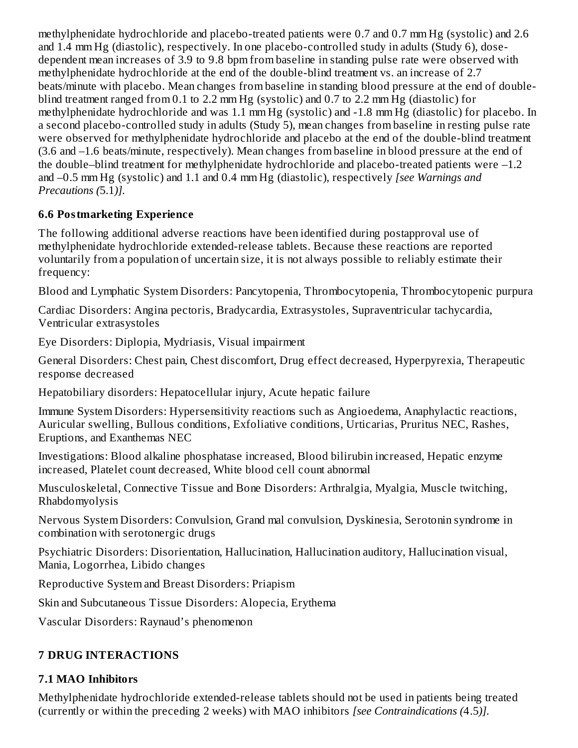methylphenidate hydrochloride and placebo-treated patients were 0.7 and 0.7 mm Hg (systolic) and 2.6 and 1.4 mm Hg (diastolic), respectively. In one placebo-controlled study in adults (Study 6), dosedependent mean increases of 3.9 to 9.8 bpm from baseline in standing pulse rate were observed with methylphenidate hydrochloride at the end of the double-blind treatment vs. an increase of 2.7 beats/minute with placebo. Mean changes from baseline in standing blood pressure at the end of doubleblind treatment ranged from 0.1 to 2.2 mm Hg (systolic) and 0.7 to 2.2 mm Hg (diastolic) for methylphenidate hydrochloride and was 1.1 mm Hg (systolic) and -1.8 mm Hg (diastolic) for placebo. In a second placebo-controlled study in adults (Study 5), mean changes from baseline in resting pulse rate were observed for methylphenidate hydrochloride and placebo at the end of the double-blind treatment (3.6 and –1.6 beats/minute, respectively). Mean changes from baseline in blood pressure at the end of the double–blind treatment for methylphenidate hydrochloride and placebo-treated patients were –1.2 and –0.5 mm Hg (systolic) and 1.1 and 0.4 mm Hg (diastolic), respectively *[see Warnings and Precautions (*5.1*)].*

### **6.6 Postmarketing Experience**

The following additional adverse reactions have been identified during postapproval use of methylphenidate hydrochloride extended-release tablets. Because these reactions are reported voluntarily from a population of uncertain size, it is not always possible to reliably estimate their frequency:

Blood and Lymphatic System Disorders: Pancytopenia, Thrombocytopenia, Thrombocytopenic purpura

Cardiac Disorders: Angina pectoris, Bradycardia, Extrasystoles, Supraventricular tachycardia, Ventricular extrasystoles

Eye Disorders: Diplopia, Mydriasis, Visual impairment

General Disorders: Chest pain, Chest discomfort, Drug effect decreased, Hyperpyrexia, Therapeutic response decreased

Hepatobiliary disorders: Hepatocellular injury, Acute hepatic failure

Immune System Disorders: Hypersensitivity reactions such as Angioedema, Anaphylactic reactions, Auricular swelling, Bullous conditions, Exfoliative conditions, Urticarias, Pruritus NEC, Rashes, Eruptions, and Exanthemas NEC

Investigations: Blood alkaline phosphatase increased, Blood bilirubin increased, Hepatic enzyme increased, Platelet count decreased, White blood cell count abnormal

Musculoskeletal, Connective Tissue and Bone Disorders: Arthralgia, Myalgia, Muscle twitching, Rhabdomyolysis

Nervous System Disorders: Convulsion, Grand mal convulsion, Dyskinesia, Serotonin syndrome in combination with serotonergic drugs

Psychiatric Disorders: Disorientation, Hallucination, Hallucination auditory, Hallucination visual, Mania, Logorrhea, Libido changes

Reproductive System and Breast Disorders: Priapism

Skin and Subcutaneous Tissue Disorders: Alopecia, Erythema

Vascular Disorders: Raynaud's phenomenon

## **7 DRUG INTERACTIONS**

## **7.1 MAO Inhibitors**

Methylphenidate hydrochloride extended-release tablets should not be used in patients being treated (currently or within the preceding 2 weeks) with MAO inhibitors *[see Contraindications (*4.5*)].*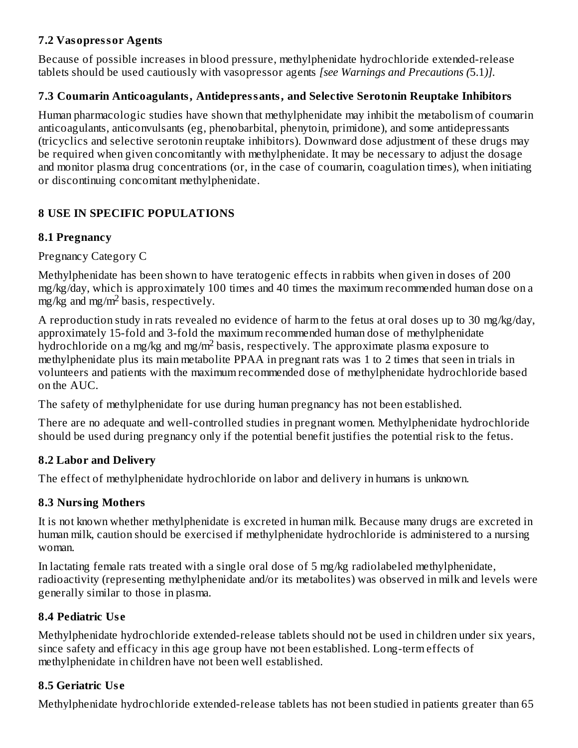#### **7.2 Vasopressor Agents**

Because of possible increases in blood pressure, methylphenidate hydrochloride extended-release tablets should be used cautiously with vasopressor agents *[see Warnings and Precautions (*5.1*)].*

#### **7.3 Coumarin Anticoagulants, Antidepressants, and Selective Serotonin Reuptake Inhibitors**

Human pharmacologic studies have shown that methylphenidate may inhibit the metabolism of coumarin anticoagulants, anticonvulsants (eg, phenobarbital, phenytoin, primidone), and some antidepressants (tricyclics and selective serotonin reuptake inhibitors). Downward dose adjustment of these drugs may be required when given concomitantly with methylphenidate. It may be necessary to adjust the dosage and monitor plasma drug concentrations (or, in the case of coumarin, coagulation times), when initiating or discontinuing concomitant methylphenidate.

#### **8 USE IN SPECIFIC POPULATIONS**

#### **8.1 Pregnancy**

Pregnancy Category C

Methylphenidate has been shown to have teratogenic effects in rabbits when given in doses of 200 mg/kg/day, which is approximately 100 times and 40 times the maximum recommended human dose on a  $mg/kg$  and mg/m<sup>2</sup> basis, respectively.

A reproduction study in rats revealed no evidence of harm to the fetus at oral doses up to 30 mg/kg/day, approximately 15-fold and 3-fold the maximum recommended human dose of methylphenidate hydrochloride on a mg/kg and mg/m<sup>2</sup> basis, respectively. The approximate plasma exposure to methylphenidate plus its main metabolite PPAA in pregnant rats was 1 to 2 times that seen in trials in volunteers and patients with the maximum recommended dose of methylphenidate hydrochloride based on the AUC.

The safety of methylphenidate for use during human pregnancy has not been established.

There are no adequate and well-controlled studies in pregnant women. Methylphenidate hydrochloride should be used during pregnancy only if the potential benefit justifies the potential risk to the fetus.

#### **8.2 Labor and Delivery**

The effect of methylphenidate hydrochloride on labor and delivery in humans is unknown.

#### **8.3 Nursing Mothers**

It is not known whether methylphenidate is excreted in human milk. Because many drugs are excreted in human milk, caution should be exercised if methylphenidate hydrochloride is administered to a nursing woman.

In lactating female rats treated with a single oral dose of 5 mg/kg radiolabeled methylphenidate, radioactivity (representing methylphenidate and/or its metabolites) was observed in milk and levels were generally similar to those in plasma.

### **8.4 Pediatric Us e**

Methylphenidate hydrochloride extended-release tablets should not be used in children under six years, since safety and efficacy in this age group have not been established. Long-term effects of methylphenidate in children have not been well established.

### **8.5 Geriatric Us e**

Methylphenidate hydrochloride extended-release tablets has not been studied in patients greater than 65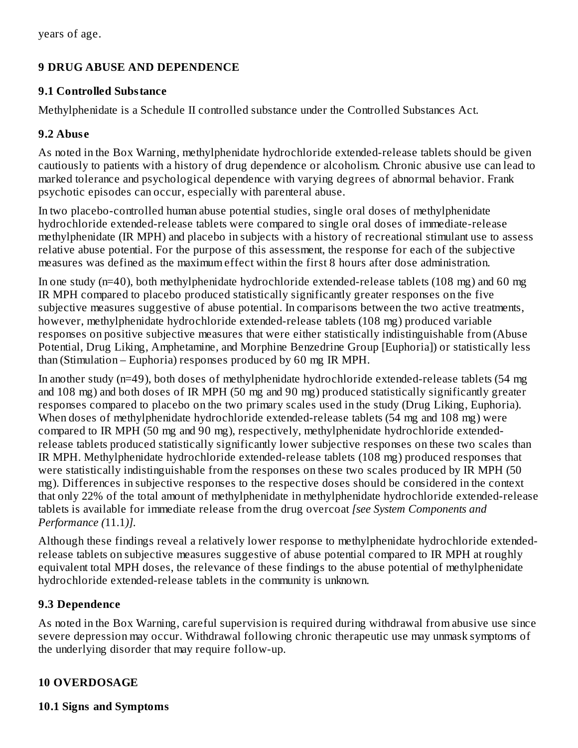### **9 DRUG ABUSE AND DEPENDENCE**

#### **9.1 Controlled Substance**

Methylphenidate is a Schedule II controlled substance under the Controlled Substances Act.

#### **9.2 Abus e**

As noted in the Box Warning, methylphenidate hydrochloride extended-release tablets should be given cautiously to patients with a history of drug dependence or alcoholism. Chronic abusive use can lead to marked tolerance and psychological dependence with varying degrees of abnormal behavior. Frank psychotic episodes can occur, especially with parenteral abuse.

In two placebo-controlled human abuse potential studies, single oral doses of methylphenidate hydrochloride extended-release tablets were compared to single oral doses of immediate-release methylphenidate (IR MPH) and placebo in subjects with a history of recreational stimulant use to assess relative abuse potential. For the purpose of this assessment, the response for each of the subjective measures was defined as the maximum effect within the first 8 hours after dose administration.

In one study (n=40), both methylphenidate hydrochloride extended-release tablets (108 mg) and 60 mg IR MPH compared to placebo produced statistically significantly greater responses on the five subjective measures suggestive of abuse potential. In comparisons between the two active treatments, however, methylphenidate hydrochloride extended-release tablets (108 mg) produced variable responses on positive subjective measures that were either statistically indistinguishable from (Abuse Potential, Drug Liking, Amphetamine, and Morphine Benzedrine Group [Euphoria]) or statistically less than (Stimulation – Euphoria) responses produced by 60 mg IR MPH.

In another study (n=49), both doses of methylphenidate hydrochloride extended-release tablets (54 mg and 108 mg) and both doses of IR MPH (50 mg and 90 mg) produced statistically significantly greater responses compared to placebo on the two primary scales used in the study (Drug Liking, Euphoria). When doses of methylphenidate hydrochloride extended-release tablets (54 mg and 108 mg) were compared to IR MPH (50 mg and 90 mg), respectively, methylphenidate hydrochloride extendedrelease tablets produced statistically significantly lower subjective responses on these two scales than IR MPH. Methylphenidate hydrochloride extended-release tablets (108 mg) produced responses that were statistically indistinguishable from the responses on these two scales produced by IR MPH (50 mg). Differences in subjective responses to the respective doses should be considered in the context that only 22% of the total amount of methylphenidate in methylphenidate hydrochloride extended-release tablets is available for immediate release from the drug overcoat *[see System Components and Performance (*11.1*)].*

Although these findings reveal a relatively lower response to methylphenidate hydrochloride extendedrelease tablets on subjective measures suggestive of abuse potential compared to IR MPH at roughly equivalent total MPH doses, the relevance of these findings to the abuse potential of methylphenidate hydrochloride extended-release tablets in the community is unknown.

#### **9.3 Dependence**

As noted in the Box Warning, careful supervision is required during withdrawal from abusive use since severe depression may occur. Withdrawal following chronic therapeutic use may unmask symptoms of the underlying disorder that may require follow-up.

### **10 OVERDOSAGE**

#### **10.1 Signs and Symptoms**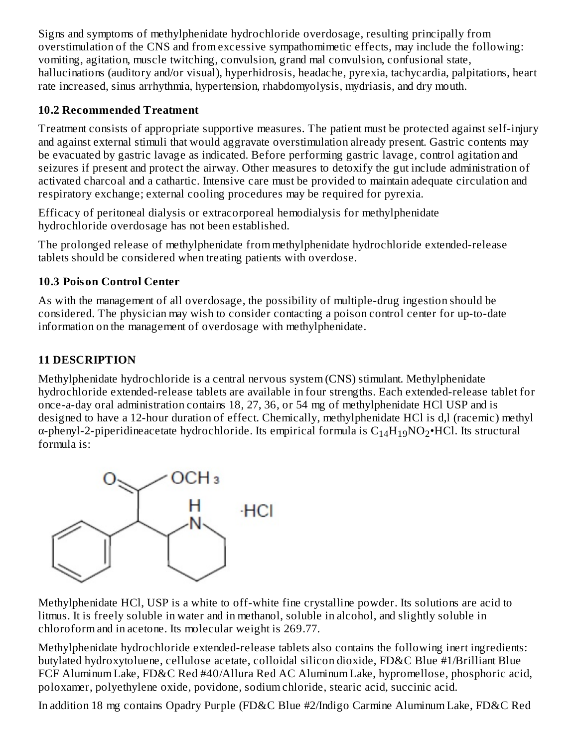Signs and symptoms of methylphenidate hydrochloride overdosage, resulting principally from overstimulation of the CNS and from excessive sympathomimetic effects, may include the following: vomiting, agitation, muscle twitching, convulsion, grand mal convulsion, confusional state, hallucinations (auditory and/or visual), hyperhidrosis, headache, pyrexia, tachycardia, palpitations, heart rate increased, sinus arrhythmia, hypertension, rhabdomyolysis, mydriasis, and dry mouth.

#### **10.2 Recommended Treatment**

Treatment consists of appropriate supportive measures. The patient must be protected against self-injury and against external stimuli that would aggravate overstimulation already present. Gastric contents may be evacuated by gastric lavage as indicated. Before performing gastric lavage, control agitation and seizures if present and protect the airway. Other measures to detoxify the gut include administration of activated charcoal and a cathartic. Intensive care must be provided to maintain adequate circulation and respiratory exchange; external cooling procedures may be required for pyrexia.

Efficacy of peritoneal dialysis or extracorporeal hemodialysis for methylphenidate hydrochloride overdosage has not been established.

The prolonged release of methylphenidate from methylphenidate hydrochloride extended-release tablets should be considered when treating patients with overdose.

#### **10.3 Poison Control Center**

As with the management of all overdosage, the possibility of multiple-drug ingestion should be considered. The physician may wish to consider contacting a poison control center for up-to-date information on the management of overdosage with methylphenidate.

### **11 DESCRIPTION**

Methylphenidate hydrochloride is a central nervous system (CNS) stimulant. Methylphenidate hydrochloride extended-release tablets are available in four strengths. Each extended-release tablet for once-a-day oral administration contains 18, 27, 36, or 54 mg of methylphenidate HCl USP and is designed to have a 12-hour duration of effect. Chemically, methylphenidate HCl is d,l (racemic) methyl α-phenyl-2-piperidineacetate hydrochloride. Its empirical formula is  $\rm{C_{14}H_{19}NO_2^{\bullet}HCl}$ . Its structural formula is:



Methylphenidate HCl, USP is a white to off-white fine crystalline powder. Its solutions are acid to litmus. It is freely soluble in water and in methanol, soluble in alcohol, and slightly soluble in chloroform and in acetone. Its molecular weight is 269.77.

Methylphenidate hydrochloride extended-release tablets also contains the following inert ingredients: butylated hydroxytoluene, cellulose acetate, colloidal silicon dioxide, FD&C Blue #1/Brilliant Blue FCF Aluminum Lake, FD&C Red #40/Allura Red AC Aluminum Lake, hypromellose, phosphoric acid, poloxamer, polyethylene oxide, povidone, sodium chloride, stearic acid, succinic acid.

In addition 18 mg contains Opadry Purple (FD&C Blue #2/Indigo Carmine Aluminum Lake, FD&C Red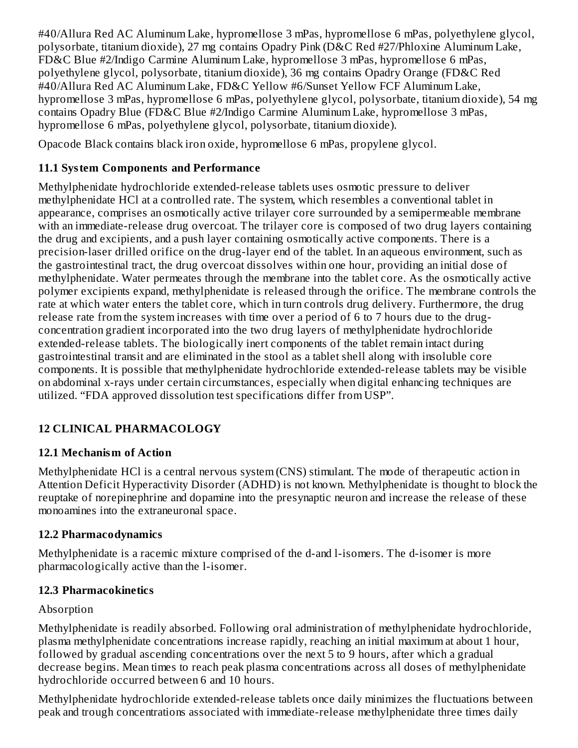#40/Allura Red AC Aluminum Lake, hypromellose 3 mPas, hypromellose 6 mPas, polyethylene glycol, polysorbate, titanium dioxide), 27 mg contains Opadry Pink (D&C Red #27/Phloxine Aluminum Lake, FD&C Blue #2/Indigo Carmine Aluminum Lake, hypromellose 3 mPas, hypromellose 6 mPas, polyethylene glycol, polysorbate, titanium dioxide), 36 mg contains Opadry Orange (FD&C Red #40/Allura Red AC Aluminum Lake, FD&C Yellow #6/Sunset Yellow FCF Aluminum Lake, hypromellose 3 mPas, hypromellose 6 mPas, polyethylene glycol, polysorbate, titanium dioxide), 54 mg contains Opadry Blue (FD&C Blue #2/Indigo Carmine Aluminum Lake, hypromellose 3 mPas, hypromellose 6 mPas, polyethylene glycol, polysorbate, titanium dioxide).

Opacode Black contains black iron oxide, hypromellose 6 mPas, propylene glycol.

### **11.1 System Components and Performance**

Methylphenidate hydrochloride extended-release tablets uses osmotic pressure to deliver methylphenidate HCl at a controlled rate. The system, which resembles a conventional tablet in appearance, comprises an osmotically active trilayer core surrounded by a semipermeable membrane with an immediate-release drug overcoat. The trilayer core is composed of two drug layers containing the drug and excipients, and a push layer containing osmotically active components. There is a precision-laser drilled orifice on the drug-layer end of the tablet. In an aqueous environment, such as the gastrointestinal tract, the drug overcoat dissolves within one hour, providing an initial dose of methylphenidate. Water permeates through the membrane into the tablet core. As the osmotically active polymer excipients expand, methylphenidate is released through the orifice. The membrane controls the rate at which water enters the tablet core, which in turn controls drug delivery. Furthermore, the drug release rate from the system increases with time over a period of 6 to 7 hours due to the drugconcentration gradient incorporated into the two drug layers of methylphenidate hydrochloride extended-release tablets. The biologically inert components of the tablet remain intact during gastrointestinal transit and are eliminated in the stool as a tablet shell along with insoluble core components. It is possible that methylphenidate hydrochloride extended-release tablets may be visible on abdominal x-rays under certain circumstances, especially when digital enhancing techniques are utilized. "FDA approved dissolution test specifications differ from USP".

### **12 CLINICAL PHARMACOLOGY**

### **12.1 Mechanism of Action**

Methylphenidate HCl is a central nervous system (CNS) stimulant. The mode of therapeutic action in Attention Deficit Hyperactivity Disorder (ADHD) is not known. Methylphenidate is thought to block the reuptake of norepinephrine and dopamine into the presynaptic neuron and increase the release of these monoamines into the extraneuronal space.

### **12.2 Pharmacodynamics**

Methylphenidate is a racemic mixture comprised of the d-and l-isomers. The d-isomer is more pharmacologically active than the l-isomer.

#### **12.3 Pharmacokinetics**

### Absorption

Methylphenidate is readily absorbed. Following oral administration of methylphenidate hydrochloride, plasma methylphenidate concentrations increase rapidly, reaching an initial maximum at about 1 hour, followed by gradual ascending concentrations over the next 5 to 9 hours, after which a gradual decrease begins. Mean times to reach peak plasma concentrations across all doses of methylphenidate hydrochloride occurred between 6 and 10 hours.

Methylphenidate hydrochloride extended-release tablets once daily minimizes the fluctuations between peak and trough concentrations associated with immediate-release methylphenidate three times daily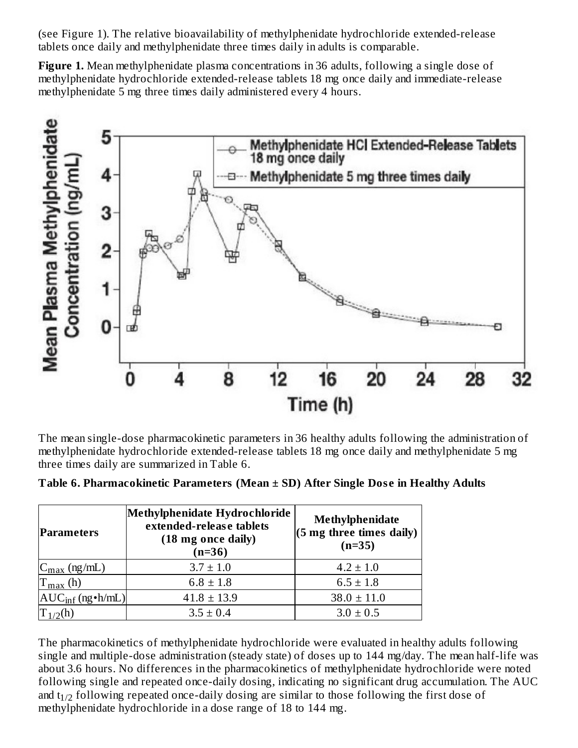(see Figure 1). The relative bioavailability of methylphenidate hydrochloride extended-release tablets once daily and methylphenidate three times daily in adults is comparable.

**Figure 1.** Mean methylphenidate plasma concentrations in 36 adults, following a single dose of methylphenidate hydrochloride extended-release tablets 18 mg once daily and immediate-release methylphenidate 5 mg three times daily administered every 4 hours.



The mean single-dose pharmacokinetic parameters in 36 healthy adults following the administration of methylphenidate hydrochloride extended-release tablets 18 mg once daily and methylphenidate 5 mg three times daily are summarized in Table 6.

**Table 6. Pharmacokinetic Parameters (Mean ± SD) After Single Dos e in Healthy Adults**

| <b>Parameters</b>           | Methylphenidate Hydrochloride<br>extended-release tablets<br>(18 mg once daily)<br>$(n=36)$ | Methylphenidate<br>$(5 \text{ mg three times daily})$<br>$(n=35)$ |  |
|-----------------------------|---------------------------------------------------------------------------------------------|-------------------------------------------------------------------|--|
| $C_{\text{max}}$ (ng/mL)    | $3.7 \pm 1.0$                                                                               | $4.2 \pm 1.0$                                                     |  |
| $I_{\text{max}}$ (h)        | $6.8 \pm 1.8$                                                                               | $6.5 \pm 1.8$                                                     |  |
| $AUC_{\rm inf}$ (ng • h/mL) | $41.8 \pm 13.9$                                                                             | $38.0 \pm 11.0$                                                   |  |
|                             | $3.5 \pm 0.4$                                                                               | $3.0 \pm 0.5$                                                     |  |

The pharmacokinetics of methylphenidate hydrochloride were evaluated in healthy adults following single and multiple-dose administration (steady state) of doses up to 144 mg/day. The mean half-life was about 3.6 hours. No differences in the pharmacokinetics of methylphenidate hydrochloride were noted following single and repeated once-daily dosing, indicating no significant drug accumulation. The AUC and  $t_{1/2}$  following repeated once-daily dosing are similar to those following the first dose of methylphenidate hydrochloride in a dose range of 18 to 144 mg.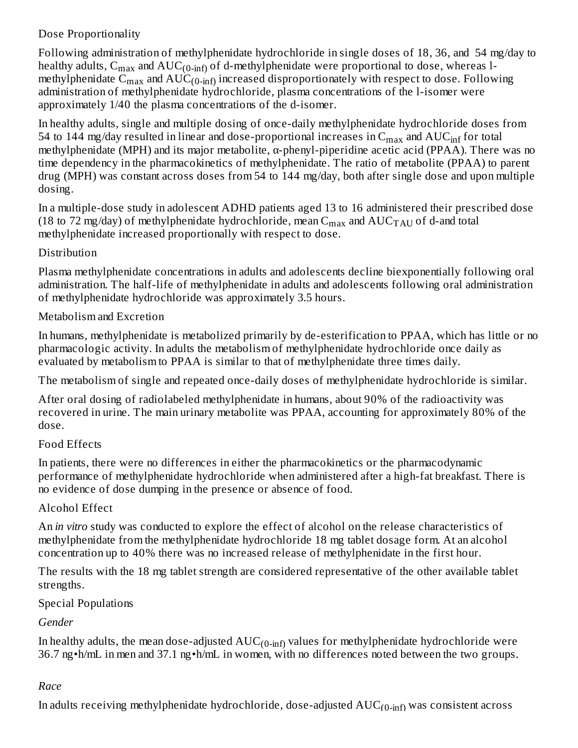### Dose Proportionality

Following administration of methylphenidate hydrochloride in single doses of 18, 36, and 54 mg/day to healthy adults,  $\mathsf{C}_{\max}$  and  $\mathrm{AUC_{(0\text{-inf})}}$  of d-methylphenidate were proportional to dose, whereas lmethylphenidate  ${\sf C_{max}}$  and  $\mathop{\rm AUC}\nolimits_{(0\text{-inf})}$  increased disproportionately with respect to dose. Following administration of methylphenidate hydrochloride, plasma concentrations of the l-isomer were approximately 1/40 the plasma concentrations of the d-isomer.

In healthy adults, single and multiple dosing of once-daily methylphenidate hydrochloride doses from 54 to 144 mg/day resulted in linear and dose-proportional increases in  $\rm{C_{max}}$  and  $\rm{AUC_{inf}}$  for total methylphenidate (MPH) and its major metabolite, α-phenyl-piperidine acetic acid (PPAA). There was no time dependency in the pharmacokinetics of methylphenidate. The ratio of metabolite (PPAA) to parent drug (MPH) was constant across doses from 54 to 144 mg/day, both after single dose and upon multiple dosing.

In a multiple-dose study in adolescent ADHD patients aged 13 to 16 administered their prescribed dose (18 to 72 mg/day) of methylphenidate hydrochloride, mean  $C_{max}$  and  $\mathrm{AUC}_{\mathrm{TAU}}$  of d-and total methylphenidate increased proportionally with respect to dose.

#### **Distribution**

Plasma methylphenidate concentrations in adults and adolescents decline biexponentially following oral administration. The half-life of methylphenidate in adults and adolescents following oral administration of methylphenidate hydrochloride was approximately 3.5 hours.

#### Metabolism and Excretion

In humans, methylphenidate is metabolized primarily by de-esterification to PPAA, which has little or no pharmacologic activity. In adults the metabolism of methylphenidate hydrochloride once daily as evaluated by metabolism to PPAA is similar to that of methylphenidate three times daily.

The metabolism of single and repeated once-daily doses of methylphenidate hydrochloride is similar.

After oral dosing of radiolabeled methylphenidate in humans, about 90% of the radioactivity was recovered in urine. The main urinary metabolite was PPAA, accounting for approximately 80% of the dose.

#### Food Effects

In patients, there were no differences in either the pharmacokinetics or the pharmacodynamic performance of methylphenidate hydrochloride when administered after a high-fat breakfast. There is no evidence of dose dumping in the presence or absence of food.

#### Alcohol Effect

An *in vitro* study was conducted to explore the effect of alcohol on the release characteristics of methylphenidate from the methylphenidate hydrochloride 18 mg tablet dosage form. At an alcohol concentration up to 40% there was no increased release of methylphenidate in the first hour.

The results with the 18 mg tablet strength are considered representative of the other available tablet strengths.

#### Special Populations

*Gender*

In healthy adults, the mean dose-adjusted  $\mathrm{AUC_{(0\text{-inf})}}$  values for methylphenidate hydrochloride were 36.7 ng•h/mL in men and 37.1 ng•h/mL in women, with no differences noted between the two groups.

#### *Race*

In adults receiving methylphenidate hydrochloride, dose-adjusted  $\mathrm{AUC_{(0\text{-inf})}}$  was consistent across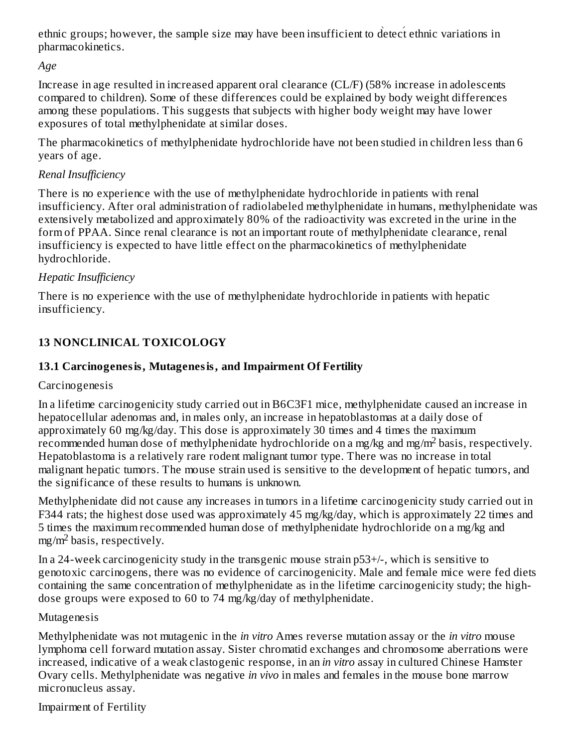ethnic groups; however, the sample size may have been insufficient to detect ethnic variations in pharmacokinetics.  $(0, 0, 0)$ 

*Age*

Increase in age resulted in increased apparent oral clearance (CL/F) (58% increase in adolescents compared to children). Some of these differences could be explained by body weight differences among these populations. This suggests that subjects with higher body weight may have lower exposures of total methylphenidate at similar doses.

The pharmacokinetics of methylphenidate hydrochloride have not been studied in children less than 6 years of age.

### *Renal Insufficiency*

There is no experience with the use of methylphenidate hydrochloride in patients with renal insufficiency. After oral administration of radiolabeled methylphenidate in humans, methylphenidate was extensively metabolized and approximately 80% of the radioactivity was excreted in the urine in the form of PPAA. Since renal clearance is not an important route of methylphenidate clearance, renal insufficiency is expected to have little effect on the pharmacokinetics of methylphenidate hydrochloride.

### *Hepatic Insufficiency*

There is no experience with the use of methylphenidate hydrochloride in patients with hepatic insufficiency.

## **13 NONCLINICAL TOXICOLOGY**

### **13.1 Carcinogenesis, Mutagenesis, and Impairment Of Fertility**

#### Carcinogenesis

In a lifetime carcinogenicity study carried out in B6C3F1 mice, methylphenidate caused an increase in hepatocellular adenomas and, in males only, an increase in hepatoblastomas at a daily dose of approximately 60 mg/kg/day. This dose is approximately 30 times and 4 times the maximum recommended human dose of methylphenidate hydrochloride on a mg/kg and mg/m<sup>2</sup> basis, respectively. Hepatoblastoma is a relatively rare rodent malignant tumor type. There was no increase in total malignant hepatic tumors. The mouse strain used is sensitive to the development of hepatic tumors, and the significance of these results to humans is unknown.

Methylphenidate did not cause any increases in tumors in a lifetime carcinogenicity study carried out in F344 rats; the highest dose used was approximately 45 mg/kg/day, which is approximately 22 times and 5 times the maximum recommended human dose of methylphenidate hydrochloride on a mg/kg and mg/m<sup>2</sup> basis, respectively.

In a 24-week carcinogenicity study in the transgenic mouse strain p53+/-, which is sensitive to genotoxic carcinogens, there was no evidence of carcinogenicity. Male and female mice were fed diets containing the same concentration of methylphenidate as in the lifetime carcinogenicity study; the highdose groups were exposed to 60 to 74 mg/kg/day of methylphenidate.

#### Mutagenesis

Methylphenidate was not mutagenic in the *in vitro* Ames reverse mutation assay or the *in vitro* mouse lymphoma cell forward mutation assay. Sister chromatid exchanges and chromosome aberrations were increased, indicative of a weak clastogenic response, in an *in vitro* assay in cultured Chinese Hamster Ovary cells. Methylphenidate was negative *in vivo* in males and females in the mouse bone marrow micronucleus assay.

Impairment of Fertility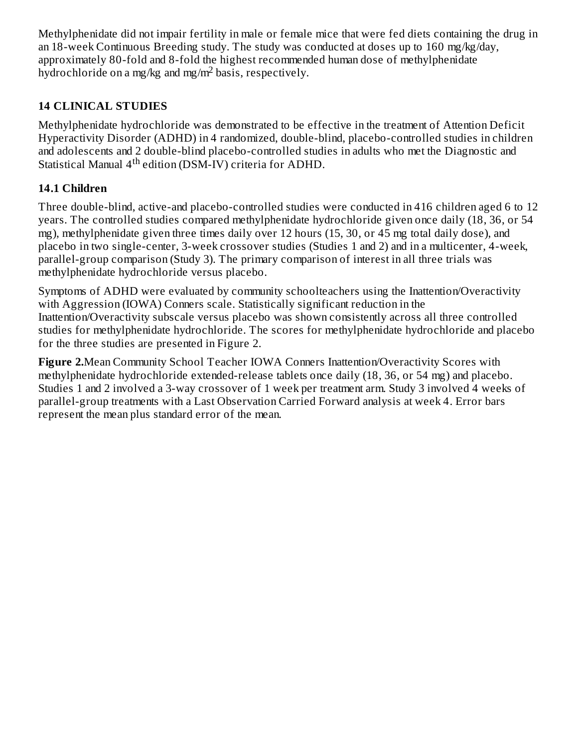Methylphenidate did not impair fertility in male or female mice that were fed diets containing the drug in an 18-week Continuous Breeding study. The study was conducted at doses up to 160 mg/kg/day, approximately 80-fold and 8-fold the highest recommended human dose of methylphenidate hydrochloride on a mg/kg and mg/m<sup>2</sup> basis, respectively.

### **14 CLINICAL STUDIES**

Methylphenidate hydrochloride was demonstrated to be effective in the treatment of Attention Deficit Hyperactivity Disorder (ADHD) in 4 randomized, double-blind, placebo-controlled studies in children and adolescents and 2 double-blind placebo-controlled studies in adults who met the Diagnostic and Statistical Manual 4<sup>th</sup> edition (DSM-IV) criteria for ADHD.

#### **14.1 Children**

Three double-blind, active-and placebo-controlled studies were conducted in 416 children aged 6 to 12 years. The controlled studies compared methylphenidate hydrochloride given once daily (18, 36, or 54 mg), methylphenidate given three times daily over 12 hours (15, 30, or 45 mg total daily dose), and placebo in two single-center, 3-week crossover studies (Studies 1 and 2) and in a multicenter, 4-week, parallel-group comparison (Study 3). The primary comparison of interest in all three trials was methylphenidate hydrochloride versus placebo.

Symptoms of ADHD were evaluated by community schoolteachers using the Inattention/Overactivity with Aggression (IOWA) Conners scale. Statistically significant reduction in the Inattention/Overactivity subscale versus placebo was shown consistently across all three controlled studies for methylphenidate hydrochloride. The scores for methylphenidate hydrochloride and placebo for the three studies are presented in Figure 2.

**Figure 2.**Mean Community School Teacher IOWA Conners Inattention/Overactivity Scores with methylphenidate hydrochloride extended-release tablets once daily (18, 36, or 54 mg) and placebo. Studies 1 and 2 involved a 3-way crossover of 1 week per treatment arm. Study 3 involved 4 weeks of parallel-group treatments with a Last Observation Carried Forward analysis at week 4. Error bars represent the mean plus standard error of the mean.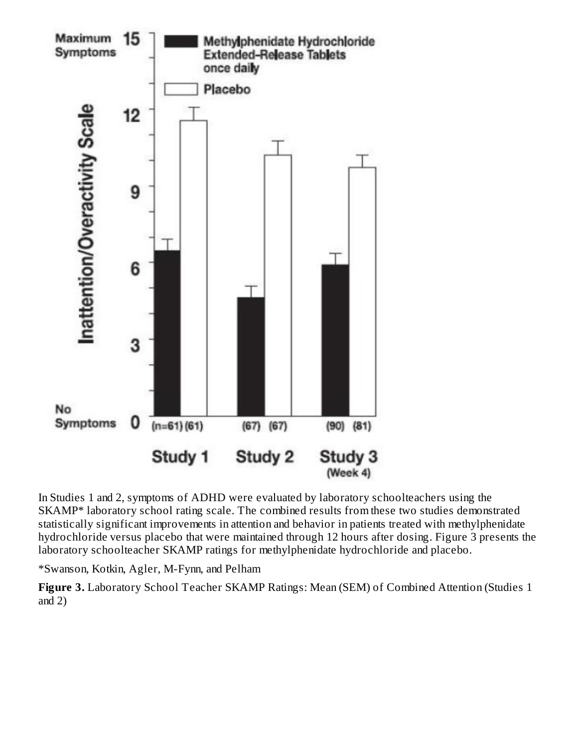

In Studies 1 and 2, symptoms of ADHD were evaluated by laboratory schoolteachers using the SKAMP\* laboratory school rating scale. The combined results from these two studies demonstrated statistically significant improvements in attention and behavior in patients treated with methylphenidate hydrochloride versus placebo that were maintained through 12 hours after dosing. Figure 3 presents the laboratory schoolteacher SKAMP ratings for methylphenidate hydrochloride and placebo.

\*Swanson, Kotkin, Agler, M-Fynn, and Pelham

**Figure 3.** Laboratory School Teacher SKAMP Ratings: Mean (SEM) of Combined Attention (Studies 1 and 2)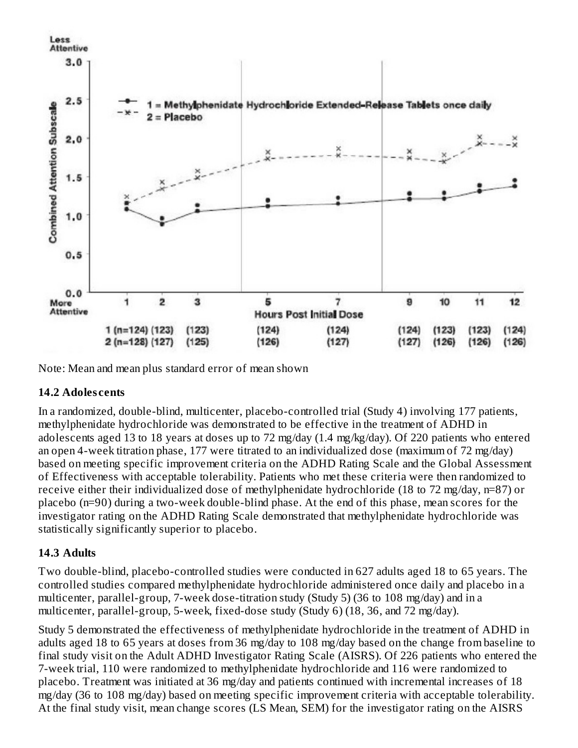

Note: Mean and mean plus standard error of mean shown

#### **14.2 Adoles cents**

In a randomized, double-blind, multicenter, placebo-controlled trial (Study 4) involving 177 patients, methylphenidate hydrochloride was demonstrated to be effective in the treatment of ADHD in adolescents aged 13 to 18 years at doses up to 72 mg/day (1.4 mg/kg/day). Of 220 patients who entered an open 4-week titration phase, 177 were titrated to an individualized dose (maximum of 72 mg/day) based on meeting specific improvement criteria on the ADHD Rating Scale and the Global Assessment of Effectiveness with acceptable tolerability. Patients who met these criteria were then randomized to receive either their individualized dose of methylphenidate hydrochloride (18 to 72 mg/day, n=87) or placebo (n=90) during a two-week double-blind phase. At the end of this phase, mean scores for the investigator rating on the ADHD Rating Scale demonstrated that methylphenidate hydrochloride was statistically significantly superior to placebo.

#### **14.3 Adults**

Two double-blind, placebo-controlled studies were conducted in 627 adults aged 18 to 65 years. The controlled studies compared methylphenidate hydrochloride administered once daily and placebo in a multicenter, parallel-group, 7-week dose-titration study (Study 5) (36 to 108 mg/day) and in a multicenter, parallel-group, 5-week, fixed-dose study (Study 6) (18, 36, and 72 mg/day).

Study 5 demonstrated the effectiveness of methylphenidate hydrochloride in the treatment of ADHD in adults aged 18 to 65 years at doses from 36 mg/day to 108 mg/day based on the change from baseline to final study visit on the Adult ADHD Investigator Rating Scale (AISRS). Of 226 patients who entered the 7-week trial, 110 were randomized to methylphenidate hydrochloride and 116 were randomized to placebo. Treatment was initiated at 36 mg/day and patients continued with incremental increases of 18 mg/day (36 to 108 mg/day) based on meeting specific improvement criteria with acceptable tolerability. At the final study visit, mean change scores (LS Mean, SEM) for the investigator rating on the AISRS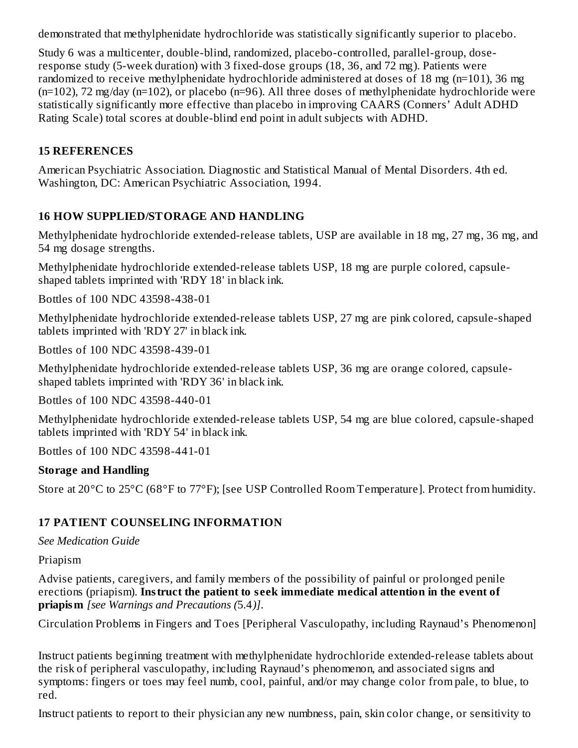demonstrated that methylphenidate hydrochloride was statistically significantly superior to placebo.

Study 6 was a multicenter, double-blind, randomized, placebo-controlled, parallel-group, doseresponse study (5-week duration) with 3 fixed-dose groups (18, 36, and 72 mg). Patients were randomized to receive methylphenidate hydrochloride administered at doses of 18 mg (n=101), 36 mg (n=102), 72 mg/day (n=102), or placebo (n=96). All three doses of methylphenidate hydrochloride were statistically significantly more effective than placebo in improving CAARS (Conners' Adult ADHD Rating Scale) total scores at double-blind end point in adult subjects with ADHD.

#### **15 REFERENCES**

American Psychiatric Association. Diagnostic and Statistical Manual of Mental Disorders. 4th ed. Washington, DC: American Psychiatric Association, 1994.

#### **16 HOW SUPPLIED/STORAGE AND HANDLING**

Methylphenidate hydrochloride extended-release tablets, USP are available in 18 mg, 27 mg, 36 mg, and 54 mg dosage strengths.

Methylphenidate hydrochloride extended-release tablets USP, 18 mg are purple colored, capsuleshaped tablets imprinted with 'RDY 18' in black ink.

Bottles of 100 NDC 43598-438-01

Methylphenidate hydrochloride extended-release tablets USP, 27 mg are pink colored, capsule-shaped tablets imprinted with 'RDY 27' in black ink.

Bottles of 100 NDC 43598-439-01

Methylphenidate hydrochloride extended-release tablets USP, 36 mg are orange colored, capsuleshaped tablets imprinted with 'RDY 36' in black ink.

Bottles of 100 NDC 43598-440-01

Methylphenidate hydrochloride extended-release tablets USP, 54 mg are blue colored, capsule-shaped tablets imprinted with 'RDY 54' in black ink.

Bottles of 100 NDC 43598-441-01

#### **Storage and Handling**

Store at 20°C to 25°C (68°F to 77°F); [see USP Controlled Room Temperature]. Protect from humidity.

#### **17 PATIENT COUNSELING INFORMATION**

*See Medication Guide*

Priapism

Advise patients, caregivers, and family members of the possibility of painful or prolonged penile erections (priapism). **Instruct the patient to s eek immediate medical attention in the event of priapism** *[see Warnings and Precautions (*5.4*)]*.

Circulation Problems in Fingers and Toes [Peripheral Vasculopathy, including Raynaud's Phenomenon]

Instruct patients beginning treatment with methylphenidate hydrochloride extended-release tablets about the risk of peripheral vasculopathy, including Raynaud's phenomenon, and associated signs and symptoms: fingers or toes may feel numb, cool, painful, and/or may change color from pale, to blue, to red.

Instruct patients to report to their physician any new numbness, pain, skin color change, or sensitivity to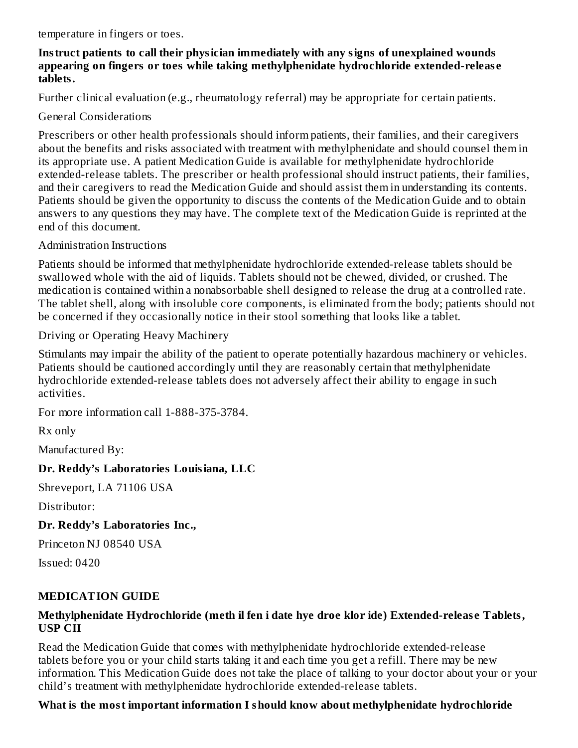temperature in fingers or toes.

#### **Instruct patients to call their physician immediately with any signs of unexplained wounds appearing on fingers or toes while taking methylphenidate hydrochloride extended-releas e tablets.**

Further clinical evaluation (e.g., rheumatology referral) may be appropriate for certain patients.

#### General Considerations

Prescribers or other health professionals should inform patients, their families, and their caregivers about the benefits and risks associated with treatment with methylphenidate and should counsel them in its appropriate use. A patient Medication Guide is available for methylphenidate hydrochloride extended-release tablets. The prescriber or health professional should instruct patients, their families, and their caregivers to read the Medication Guide and should assist them in understanding its contents. Patients should be given the opportunity to discuss the contents of the Medication Guide and to obtain answers to any questions they may have. The complete text of the Medication Guide is reprinted at the end of this document.

#### Administration Instructions

Patients should be informed that methylphenidate hydrochloride extended-release tablets should be swallowed whole with the aid of liquids. Tablets should not be chewed, divided, or crushed. The medication is contained within a nonabsorbable shell designed to release the drug at a controlled rate. The tablet shell, along with insoluble core components, is eliminated from the body; patients should not be concerned if they occasionally notice in their stool something that looks like a tablet.

#### Driving or Operating Heavy Machinery

Stimulants may impair the ability of the patient to operate potentially hazardous machinery or vehicles. Patients should be cautioned accordingly until they are reasonably certain that methylphenidate hydrochloride extended-release tablets does not adversely affect their ability to engage in such activities.

For more information call 1-888-375-3784.

Rx only

Manufactured By:

#### **Dr. Reddy's Laboratories Louisiana, LLC**

Shreveport, LA 71106 USA

Distributor:

#### **Dr. Reddy's Laboratories Inc.,**

Princeton NJ 08540 USA

Issued: 0420

#### **MEDICATION GUIDE**

#### **Methylphenidate Hydrochloride (meth il fen i date hye droe klor ide) Extended-releas e Tablets, USP CII**

Read the Medication Guide that comes with methylphenidate hydrochloride extended-release tablets before you or your child starts taking it and each time you get a refill. There may be new information. This Medication Guide does not take the place of talking to your doctor about your or your child's treatment with methylphenidate hydrochloride extended-release tablets.

#### **What is the most important information I should know about methylphenidate hydrochloride**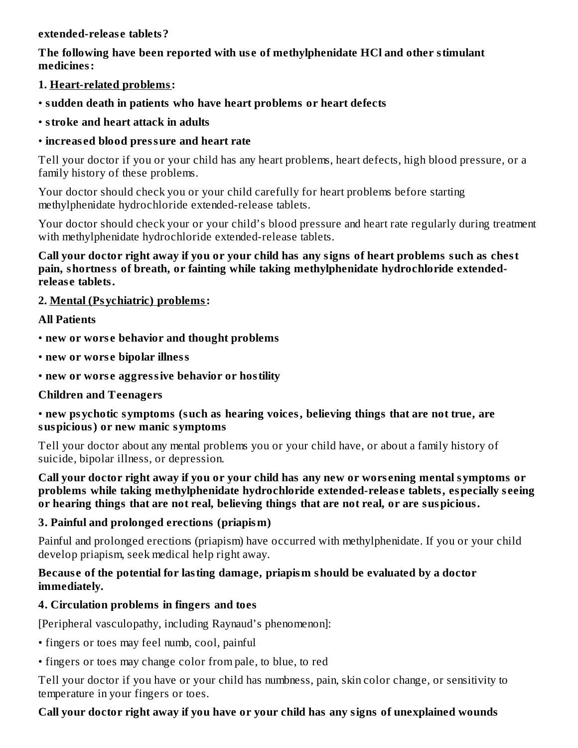**extended-releas e tablets?**

#### **The following have been reported with us e of methylphenidate HCl and other stimulant medicines:**

- **1. Heart-related problems:**
- **sudden death in patients who have heart problems or heart defects**
- **stroke and heart attack in adults**
- **increas ed blood pressure and heart rate**

Tell your doctor if you or your child has any heart problems, heart defects, high blood pressure, or a family history of these problems.

Your doctor should check you or your child carefully for heart problems before starting methylphenidate hydrochloride extended-release tablets.

Your doctor should check your or your child's blood pressure and heart rate regularly during treatment with methylphenidate hydrochloride extended-release tablets.

Call your doctor right away if you or your child has any signs of heart problems such as chest **pain, shortness of breath, or fainting while taking methylphenidate hydrochloride extendedreleas e tablets.**

#### **2. Mental (Psychiatric) problems:**

#### **All Patients**

- **new or wors e behavior and thought problems**
- **new or wors e bipolar illness**
- **new or wors e aggressive behavior or hostility**

#### **Children and Teenagers**

#### • **new psychotic symptoms (such as hearing voices, believing things that are not true, are suspicious) or new manic symptoms**

Tell your doctor about any mental problems you or your child have, or about a family history of suicide, bipolar illness, or depression.

Call your doctor right away if you or your child has any new or worsening mental symptoms or **problems while taking methylphenidate hydrochloride extended-releas e tablets, especially s eeing or hearing things that are not real, believing things that are not real, or are suspicious.**

#### **3. Painful and prolonged erections (priapism)**

Painful and prolonged erections (priapism) have occurred with methylphenidate. If you or your child develop priapism, seek medical help right away.

#### **Becaus e of the potential for lasting damage, priapism should be evaluated by a doctor immediately.**

#### **4. Circulation problems in fingers and toes**

[Peripheral vasculopathy, including Raynaud's phenomenon]:

- fingers or toes may feel numb, cool, painful
- fingers or toes may change color from pale, to blue, to red

Tell your doctor if you have or your child has numbness, pain, skin color change, or sensitivity to temperature in your fingers or toes.

#### **Call your doctor right away if you have or your child has any signs of unexplained wounds**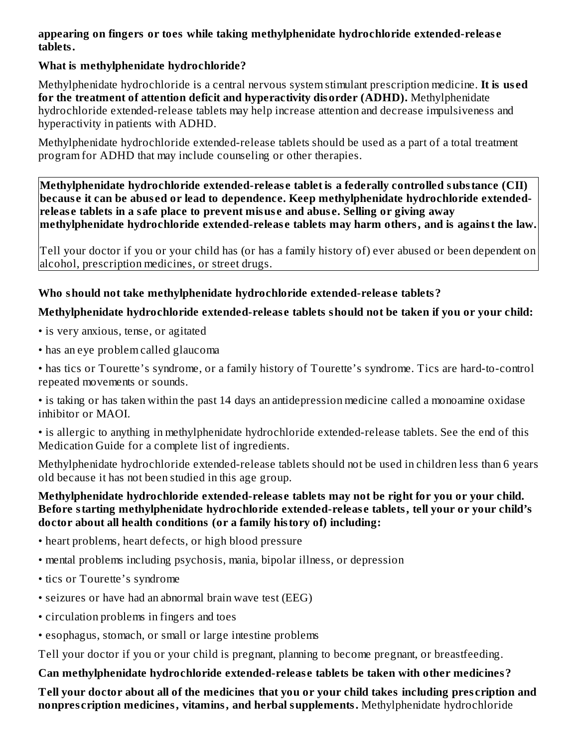#### **appearing on fingers or toes while taking methylphenidate hydrochloride extended-releas e tablets.**

#### **What is methylphenidate hydrochloride?**

Methylphenidate hydrochloride is a central nervous system stimulant prescription medicine. **It is us ed for the treatment of attention deficit and hyperactivity disorder (ADHD).** Methylphenidate hydrochloride extended-release tablets may help increase attention and decrease impulsiveness and hyperactivity in patients with ADHD.

Methylphenidate hydrochloride extended-release tablets should be used as a part of a total treatment program for ADHD that may include counseling or other therapies.

**Methylphenidate hydrochloride extended-releas e tablet is a federally controlled substance (CII) becaus e it can be abus ed or lead to dependence. Keep methylphenidate hydrochloride extendedreleas e tablets in a safe place to prevent misus e and abus e. Selling or giving away methylphenidate hydrochloride extended-releas e tablets may harm others, and is against the law.**

Tell your doctor if you or your child has (or has a family history of) ever abused or been dependent on alcohol, prescription medicines, or street drugs.

#### **Who should not take methylphenidate hydrochloride extended-releas e tablets?**

#### **Methylphenidate hydrochloride extended-releas e tablets should not be taken if you or your child:**

- is very anxious, tense, or agitated
- has an eye problem called glaucoma

• has tics or Tourette's syndrome, or a family history of Tourette's syndrome. Tics are hard-to-control repeated movements or sounds.

• is taking or has taken within the past 14 days an antidepression medicine called a monoamine oxidase inhibitor or MAOI.

• is allergic to anything in methylphenidate hydrochloride extended-release tablets. See the end of this Medication Guide for a complete list of ingredients.

Methylphenidate hydrochloride extended-release tablets should not be used in children less than 6 years old because it has not been studied in this age group.

**Methylphenidate hydrochloride extended-releas e tablets may not be right for you or your child. Before starting methylphenidate hydrochloride extended-releas e tablets, tell your or your child's doctor about all health conditions (or a family history of) including:**

- heart problems, heart defects, or high blood pressure
- mental problems including psychosis, mania, bipolar illness, or depression
- tics or Tourette's syndrome
- seizures or have had an abnormal brain wave test (EEG)
- circulation problems in fingers and toes
- esophagus, stomach, or small or large intestine problems

Tell your doctor if you or your child is pregnant, planning to become pregnant, or breastfeeding.

#### **Can methylphenidate hydrochloride extended-releas e tablets be taken with other medicines?**

Tell your doctor about all of the medicines that you or your child takes including prescription and **nonpres cription medicines, vitamins, and herbal supplements.** Methylphenidate hydrochloride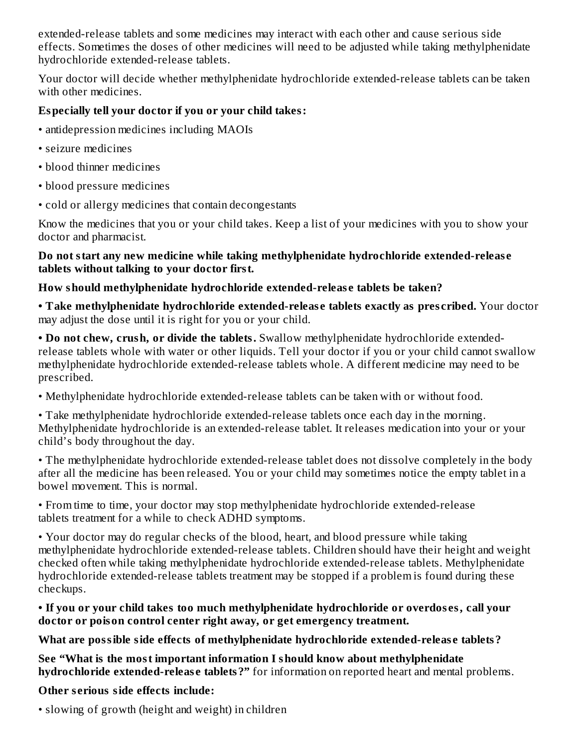extended-release tablets and some medicines may interact with each other and cause serious side effects. Sometimes the doses of other medicines will need to be adjusted while taking methylphenidate hydrochloride extended-release tablets.

Your doctor will decide whether methylphenidate hydrochloride extended-release tablets can be taken with other medicines.

### **Especially tell your doctor if you or your child takes:**

- antidepression medicines including MAOIs
- seizure medicines
- blood thinner medicines
- blood pressure medicines
- cold or allergy medicines that contain decongestants

Know the medicines that you or your child takes. Keep a list of your medicines with you to show your doctor and pharmacist.

#### **Do not start any new medicine while taking methylphenidate hydrochloride extended-releas e tablets without talking to your doctor first.**

### **How should methylphenidate hydrochloride extended-releas e tablets be taken?**

**• Take methylphenidate hydrochloride extended-releas e tablets exactly as pres cribed.** Your doctor may adjust the dose until it is right for you or your child.

**• Do not chew, crush, or divide the tablets.** Swallow methylphenidate hydrochloride extendedrelease tablets whole with water or other liquids. Tell your doctor if you or your child cannot swallow methylphenidate hydrochloride extended-release tablets whole. A different medicine may need to be prescribed.

• Methylphenidate hydrochloride extended-release tablets can be taken with or without food.

• Take methylphenidate hydrochloride extended-release tablets once each day in the morning. Methylphenidate hydrochloride is an extended-release tablet. It releases medication into your or your child's body throughout the day.

• The methylphenidate hydrochloride extended-release tablet does not dissolve completely in the body after all the medicine has been released. You or your child may sometimes notice the empty tablet in a bowel movement. This is normal.

• From time to time, your doctor may stop methylphenidate hydrochloride extended-release tablets treatment for a while to check ADHD symptoms.

• Your doctor may do regular checks of the blood, heart, and blood pressure while taking methylphenidate hydrochloride extended-release tablets. Children should have their height and weight checked often while taking methylphenidate hydrochloride extended-release tablets. Methylphenidate hydrochloride extended-release tablets treatment may be stopped if a problem is found during these checkups.

**• If you or your child takes too much methylphenidate hydrochloride or overdos es, call your doctor or poison control center right away, or get emergency treatment.**

#### **What are possible side effects of methylphenidate hydrochloride extended-releas e tablets?**

**See "What is the most important information I should know about methylphenidate hydrochloride extended-releas e tablets?"** for information on reported heart and mental problems.

### **Other s erious side effects include:**

• slowing of growth (height and weight) in children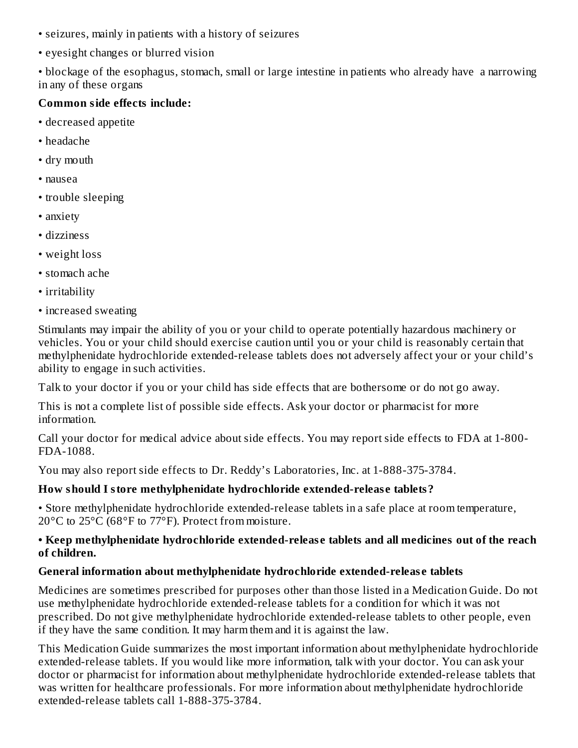- seizures, mainly in patients with a history of seizures
- eyesight changes or blurred vision

• blockage of the esophagus, stomach, small or large intestine in patients who already have a narrowing in any of these organs

#### **Common side effects include:**

- decreased appetite
- headache
- dry mouth
- nausea
- trouble sleeping
- anxiety
- dizziness
- weight loss
- stomach ache
- irritability
- increased sweating

Stimulants may impair the ability of you or your child to operate potentially hazardous machinery or vehicles. You or your child should exercise caution until you or your child is reasonably certain that methylphenidate hydrochloride extended-release tablets does not adversely affect your or your child's ability to engage in such activities.

Talk to your doctor if you or your child has side effects that are bothersome or do not go away.

This is not a complete list of possible side effects. Ask your doctor or pharmacist for more information.

Call your doctor for medical advice about side effects. You may report side effects to FDA at 1-800- FDA-1088.

You may also report side effects to Dr. Reddy's Laboratories, Inc. at 1-888-375-3784.

#### **How should I store methylphenidate hydrochloride extended-releas e tablets?**

• Store methylphenidate hydrochloride extended-release tablets in a safe place at room temperature, 20°C to 25°C (68°F to 77°F). Protect from moisture.

#### **• Keep methylphenidate hydrochloride extended-releas e tablets and all medicines out of the reach of children.**

#### **General information about methylphenidate hydrochloride extended-releas e tablets**

Medicines are sometimes prescribed for purposes other than those listed in a Medication Guide. Do not use methylphenidate hydrochloride extended-release tablets for a condition for which it was not prescribed. Do not give methylphenidate hydrochloride extended-release tablets to other people, even if they have the same condition. It may harm them and it is against the law.

This Medication Guide summarizes the most important information about methylphenidate hydrochloride extended-release tablets. If you would like more information, talk with your doctor. You can ask your doctor or pharmacist for information about methylphenidate hydrochloride extended-release tablets that was written for healthcare professionals. For more information about methylphenidate hydrochloride extended-release tablets call 1-888-375-3784.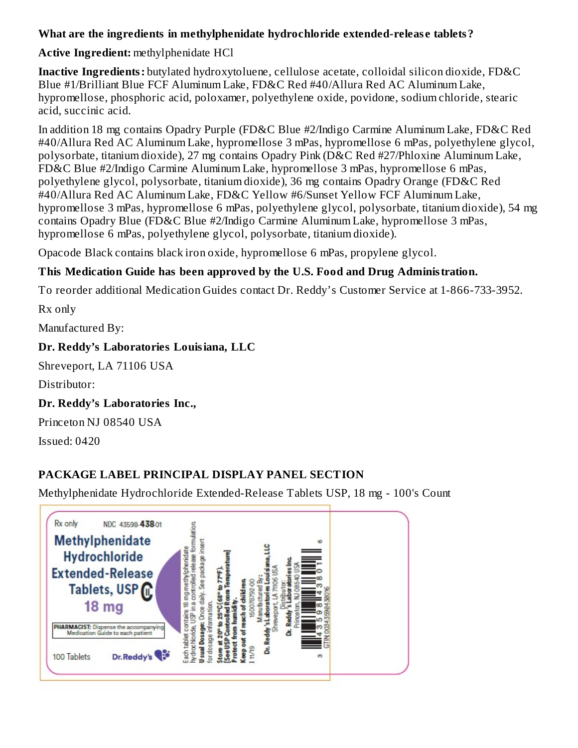#### **What are the ingredients in methylphenidate hydrochloride extended-releas e tablets?**

### **Active Ingredient:** methylphenidate HCl

**Inactive Ingredients:** butylated hydroxytoluene, cellulose acetate, colloidal silicon dioxide, FD&C Blue #1/Brilliant Blue FCF Aluminum Lake, FD&C Red #40/Allura Red AC Aluminum Lake, hypromellose, phosphoric acid, poloxamer, polyethylene oxide, povidone, sodium chloride, stearic acid, succinic acid.

In addition 18 mg contains Opadry Purple (FD&C Blue #2/Indigo Carmine Aluminum Lake, FD&C Red #40/Allura Red AC Aluminum Lake, hypromellose 3 mPas, hypromellose 6 mPas, polyethylene glycol, polysorbate, titanium dioxide), 27 mg contains Opadry Pink (D&C Red #27/Phloxine Aluminum Lake, FD&C Blue #2/Indigo Carmine Aluminum Lake, hypromellose 3 mPas, hypromellose 6 mPas, polyethylene glycol, polysorbate, titanium dioxide), 36 mg contains Opadry Orange (FD&C Red #40/Allura Red AC Aluminum Lake, FD&C Yellow #6/Sunset Yellow FCF Aluminum Lake, hypromellose 3 mPas, hypromellose 6 mPas, polyethylene glycol, polysorbate, titanium dioxide), 54 mg contains Opadry Blue (FD&C Blue #2/Indigo Carmine Aluminum Lake, hypromellose 3 mPas, hypromellose 6 mPas, polyethylene glycol, polysorbate, titanium dioxide).

Opacode Black contains black iron oxide, hypromellose 6 mPas, propylene glycol.

## **This Medication Guide has been approved by the U.S. Food and Drug Administration.**

To reorder additional Medication Guides contact Dr. Reddy's Customer Service at 1-866-733-3952.

Rx only

Manufactured By:

### **Dr. Reddy's Laboratories Louisiana, LLC**

Shreveport, LA 71106 USA

Distributor:

### **Dr. Reddy's Laboratories Inc.,**

Princeton NJ 08540 USA

Issued: 0420

## **PACKAGE LABEL PRINCIPAL DISPLAY PANEL SECTION**

Methylphenidate Hydrochloride Extended-Release Tablets USP, 18 mg - 100's Count

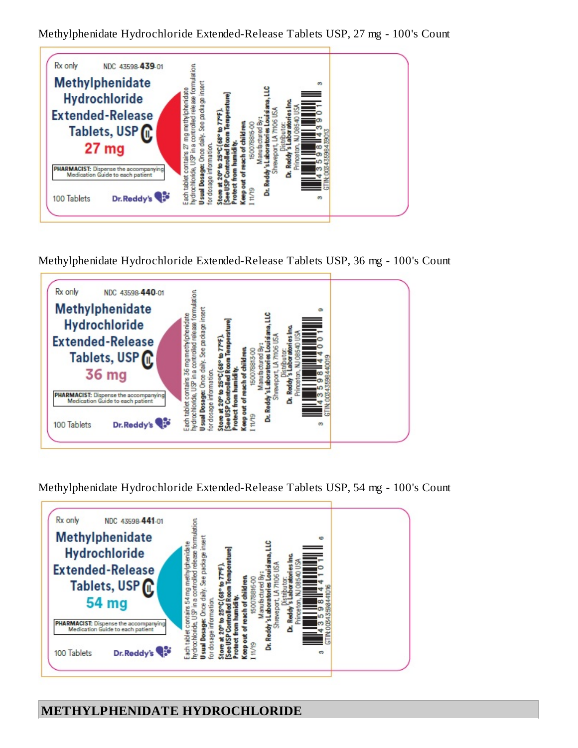Methylphenidate Hydrochloride Extended-Release Tablets USP, 27 mg - 100's Count



Methylphenidate Hydrochloride Extended-Release Tablets USP, 36 mg - 100's Count



Methylphenidate Hydrochloride Extended-Release Tablets USP, 54 mg - 100's Count



### **METHYLPHENIDATE HYDROCHLORIDE**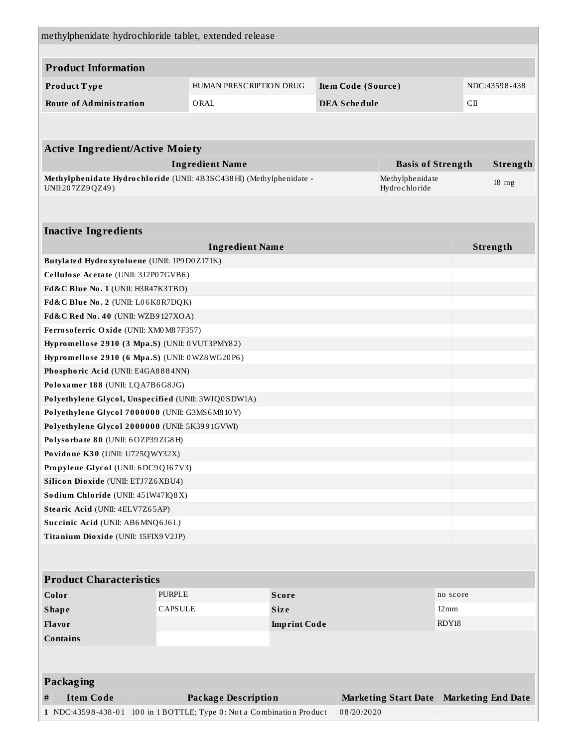| methylphenidate hydrochloride tablet, extended release                                  |         |                            |                     |                     |                                         |                    |                 |               |
|-----------------------------------------------------------------------------------------|---------|----------------------------|---------------------|---------------------|-----------------------------------------|--------------------|-----------------|---------------|
| <b>Product Information</b>                                                              |         |                            |                     |                     |                                         |                    |                 |               |
| Product Type                                                                            |         | HUMAN PRESCRIPTION DRUG    |                     | Item Code (Source)  |                                         |                    |                 | NDC:43598-438 |
| <b>Route of Administration</b>                                                          |         | ORAL                       |                     | <b>DEA Schedule</b> |                                         |                    | C <sub>II</sub> |               |
|                                                                                         |         |                            |                     |                     |                                         |                    |                 |               |
| <b>Active Ingredient/Active Moiety</b>                                                  |         |                            |                     |                     |                                         |                    |                 |               |
|                                                                                         |         | <b>Ingredient Name</b>     |                     |                     | <b>Basis of Strength</b>                |                    |                 | Strength      |
| Methylphenidate Hydrochloride (UNII: 4B3SC438HI) (Methylphenidate -<br>UNII:207ZZ9QZ49) |         |                            |                     |                     | Methylphenidate<br>Hydro chlo ride      |                    |                 | $18$ mg       |
| <b>Inactive Ingredients</b>                                                             |         |                            |                     |                     |                                         |                    |                 |               |
|                                                                                         |         | <b>Ingredient Name</b>     |                     |                     |                                         |                    | Strength        |               |
| Butylated Hydroxytoluene (UNII: 1P9D0Z171K)                                             |         |                            |                     |                     |                                         |                    |                 |               |
| Cellulose Acetate (UNII: 3J2P07GVB6)                                                    |         |                            |                     |                     |                                         |                    |                 |               |
| Fd&C Blue No. 1 (UNII: H3R47K3TBD)                                                      |         |                            |                     |                     |                                         |                    |                 |               |
| Fd&C Blue No. 2 (UNII: L06K8R7DQK)                                                      |         |                            |                     |                     |                                         |                    |                 |               |
| Fd&C Red No. 40 (UNII: WZB9127XOA)                                                      |         |                            |                     |                     |                                         |                    |                 |               |
| Ferrosoferric Oxide (UNII: XMOM87F357)                                                  |         |                            |                     |                     |                                         |                    |                 |               |
| Hypromellose 2910 (3 Mpa.S) (UNII: 0 VUT3PMY82)                                         |         |                            |                     |                     |                                         |                    |                 |               |
| Hypromellose 2910 (6 Mpa.S) (UNII: 0WZ8WG20P6)                                          |         |                            |                     |                     |                                         |                    |                 |               |
| Phosphoric Acid (UNII: E4GA8884NN)                                                      |         |                            |                     |                     |                                         |                    |                 |               |
| Poloxamer 188 (UNII: LQA7B6G8JG)                                                        |         |                            |                     |                     |                                         |                    |                 |               |
| Polyethylene Glycol, Unspecified (UNII: 3WJQ0SDW1A)                                     |         |                            |                     |                     |                                         |                    |                 |               |
| Polyethylene Glycol 7000000 (UNII: G3MS6M810Y)                                          |         |                            |                     |                     |                                         |                    |                 |               |
| Polyethylene Glycol 2000000 (UNII: 5K3991GVWI)                                          |         |                            |                     |                     |                                         |                    |                 |               |
| Polysorbate 80 (UNII: 6OZP39ZG8H)                                                       |         |                            |                     |                     |                                         |                    |                 |               |
| Povidone K30 (UNII: U725QWY32X)                                                         |         |                            |                     |                     |                                         |                    |                 |               |
| Propylene Glycol (UNII: 6DC9Q167V3)                                                     |         |                            |                     |                     |                                         |                    |                 |               |
| Silicon Dioxide (UNII: ETJ7Z6XBU4)                                                      |         |                            |                     |                     |                                         |                    |                 |               |
| Sodium Chloride (UNII: 451W47IQ8X)                                                      |         |                            |                     |                     |                                         |                    |                 |               |
| Stearic Acid (UNII: 4ELV7Z65AP)                                                         |         |                            |                     |                     |                                         |                    |                 |               |
| Succinic Acid (UNII: AB6MNQ6J6L)                                                        |         |                            |                     |                     |                                         |                    |                 |               |
| Titanium Dioxide (UNII: 15FIX9V2JP)                                                     |         |                            |                     |                     |                                         |                    |                 |               |
| <b>Product Characteristics</b>                                                          |         |                            |                     |                     |                                         |                    |                 |               |
| Color                                                                                   | PURPLE  |                            | <b>Score</b>        |                     |                                         | no score           |                 |               |
| <b>Shape</b>                                                                            | CAPSULE |                            | Size                |                     |                                         | $12 \,\mathrm{mm}$ |                 |               |
| Flavor                                                                                  |         |                            | <b>Imprint Code</b> |                     |                                         | RDY18              |                 |               |
| <b>Contains</b>                                                                         |         |                            |                     |                     |                                         |                    |                 |               |
| <b>Packaging</b>                                                                        |         |                            |                     |                     |                                         |                    |                 |               |
| $\#$<br><b>Item Code</b>                                                                |         | <b>Package Description</b> |                     |                     | Marketing Start Date Marketing End Date |                    |                 |               |
| 1 NDC:43598-438-01 100 in 1 BOTTLE; Type 0: Not a Combination Product                   |         |                            |                     | 08/20/2020          |                                         |                    |                 |               |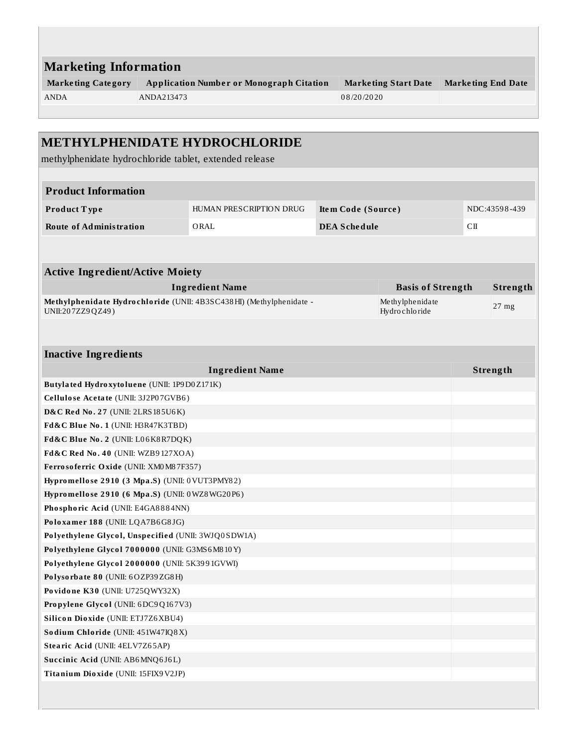| <b>Marketing Category</b>                                                                      | <b>Application Number or Monograph Citation</b> |                         |                     | <b>Marketing Start Date</b>        |                 | <b>Marketing End Date</b> |
|------------------------------------------------------------------------------------------------|-------------------------------------------------|-------------------------|---------------------|------------------------------------|-----------------|---------------------------|
| <b>ANDA</b>                                                                                    | ANDA213473                                      |                         | 08/20/2020          |                                    |                 |                           |
| <b>METHYLPHENIDATE HYDROCHLORIDE</b><br>methylphenidate hydrochloride tablet, extended release |                                                 |                         |                     |                                    |                 |                           |
| <b>Product Information</b>                                                                     |                                                 |                         |                     |                                    |                 |                           |
| Product Type                                                                                   |                                                 | HUMAN PRESCRIPTION DRUG | Item Code (Source)  |                                    |                 | NDC:43598-439             |
| <b>Route of Administration</b>                                                                 | ORAL                                            |                         | <b>DEA Schedule</b> |                                    | C <sub>II</sub> |                           |
|                                                                                                |                                                 |                         |                     |                                    |                 |                           |
| <b>Active Ingredient/Active Moiety</b>                                                         |                                                 |                         |                     |                                    |                 |                           |
|                                                                                                | <b>Ingredient Name</b>                          |                         |                     | <b>Basis of Strength</b>           |                 | Strength                  |
| Methylphenidate Hydrochloride (UNII: 4B3SC438HI) (Methylphenidate -<br>UNII:207ZZ9QZ49)        |                                                 |                         |                     | Methylphenidate<br>Hydro chlo ride |                 | 27 <sub>mg</sub>          |
| <b>Inactive Ingredients</b>                                                                    |                                                 |                         |                     |                                    |                 |                           |
|                                                                                                |                                                 | <b>Ingredient Name</b>  |                     |                                    |                 | Strength                  |
| Butylated Hydroxytoluene (UNII: 1P9D0Z171K)                                                    |                                                 |                         |                     |                                    |                 |                           |
| Cellulose Acetate (UNII: 3J2P07GVB6)                                                           |                                                 |                         |                     |                                    |                 |                           |
| D&C Red No. 27 (UNII: 2LRS 185U6K)                                                             |                                                 |                         |                     |                                    |                 |                           |
| Fd&C Blue No. 1 (UNII: H3R47K3TBD)                                                             |                                                 |                         |                     |                                    |                 |                           |
| Fd&C Blue No. 2 (UNII: L06K8R7DQK)                                                             |                                                 |                         |                     |                                    |                 |                           |
| Fd&C Red No. 40 (UNII: WZB9127XOA)                                                             |                                                 |                         |                     |                                    |                 |                           |
| Ferrosoferric Oxide (UNII: XM0 M87F357)                                                        |                                                 |                         |                     |                                    |                 |                           |
| Hypromellose 2910 (3 Mpa.S) (UNII: 0 VUT3PMY82)                                                |                                                 |                         |                     |                                    |                 |                           |
| Hypromellose 2910 (6 Mpa.S) (UNII: 0WZ8WG20P6)                                                 |                                                 |                         |                     |                                    |                 |                           |
| Phosphoric Acid (UNII: E4GA8884NN)                                                             |                                                 |                         |                     |                                    |                 |                           |
| Poloxamer 188 (UNII: LQA7B6G8JG)                                                               |                                                 |                         |                     |                                    |                 |                           |
| Polyethylene Glycol, Unspecified (UNII: 3WJQ0SDW1A)                                            |                                                 |                         |                     |                                    |                 |                           |
| Polyethylene Glycol 7000000 (UNII: G3MS6M810Y)                                                 |                                                 |                         |                     |                                    |                 |                           |
| Polyethylene Glycol 2000000 (UNII: 5K3991GVWI)                                                 |                                                 |                         |                     |                                    |                 |                           |
| Polysorbate 80 (UNII: 6OZP39ZG8H)                                                              |                                                 |                         |                     |                                    |                 |                           |
| Povidone K30 (UNII: U725QWY32X)                                                                |                                                 |                         |                     |                                    |                 |                           |
| Propylene Glycol (UNII: 6DC9Q167V3)                                                            |                                                 |                         |                     |                                    |                 |                           |
| Silicon Dioxide (UNII: ETJ7Z6XBU4)                                                             |                                                 |                         |                     |                                    |                 |                           |
| Sodium Chloride (UNII: 451W47IQ8X)                                                             |                                                 |                         |                     |                                    |                 |                           |
|                                                                                                |                                                 |                         |                     |                                    |                 |                           |
| Stearic Acid (UNII: 4ELV7Z65AP)<br>Succinic Acid (UNII: AB6MNQ6J6L)                            |                                                 |                         |                     |                                    |                 |                           |

 $\overline{\phantom{a}}$ 

**Contract**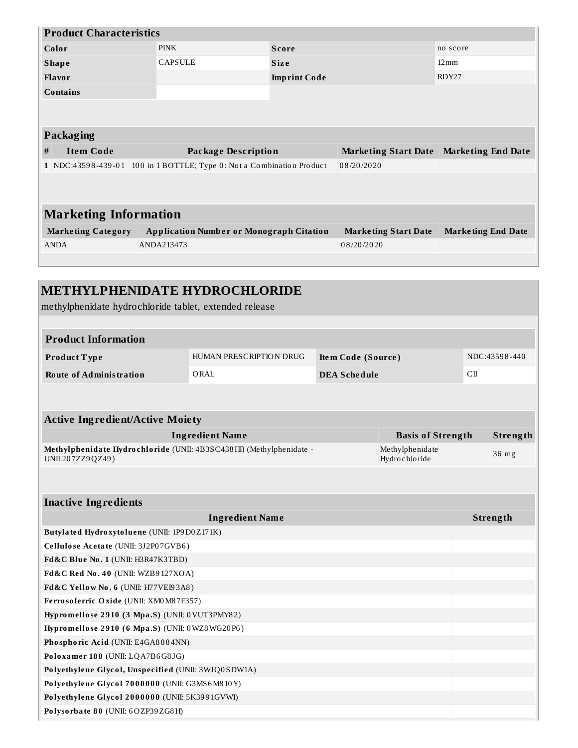|   | <b>Product Characteristics</b>       |                                                                       |                     |                             |                           |  |  |
|---|--------------------------------------|-----------------------------------------------------------------------|---------------------|-----------------------------|---------------------------|--|--|
|   | Color                                | <b>PINK</b>                                                           | <b>Score</b>        |                             | no score                  |  |  |
|   | <b>Shape</b>                         | <b>CAPSULE</b>                                                        | <b>Size</b>         |                             | $12 \,\mathrm{mm}$        |  |  |
|   | Flavor                               |                                                                       | <b>Imprint Code</b> |                             | RDY27                     |  |  |
|   | <b>Contains</b>                      |                                                                       |                     |                             |                           |  |  |
|   |                                      |                                                                       |                     |                             |                           |  |  |
|   |                                      |                                                                       |                     |                             |                           |  |  |
|   | <b>Packaging</b>                     |                                                                       |                     |                             |                           |  |  |
| # | <b>Item Code</b>                     | <b>Package Description</b>                                            |                     | <b>Marketing Start Date</b> | <b>Marketing End Date</b> |  |  |
|   |                                      | 1 NDC:43598-439-01 100 in 1 BOTTLE; Type 0: Not a Combination Product |                     | 08/20/2020                  |                           |  |  |
|   |                                      |                                                                       |                     |                             |                           |  |  |
|   |                                      |                                                                       |                     |                             |                           |  |  |
|   | <b>Marketing Information</b>         |                                                                       |                     |                             |                           |  |  |
|   | <b>Marketing Category</b>            | <b>Application Number or Monograph Citation</b>                       |                     | <b>Marketing Start Date</b> | <b>Marketing End Date</b> |  |  |
|   | <b>ANDA</b>                          | ANDA213473                                                            |                     | 08/20/2020                  |                           |  |  |
|   |                                      |                                                                       |                     |                             |                           |  |  |
|   |                                      |                                                                       |                     |                             |                           |  |  |
|   | <b>METHYLPHENIDATE HYDROCHLORIDE</b> |                                                                       |                     |                             |                           |  |  |

methylphenidate hydrochloride tablet, extended release

#### **Product Information**

| Product Type                   | HUMAN PRESCRIPTION DRUG | Item Code (Source)  | NDC:43598-440 |
|--------------------------------|-------------------------|---------------------|---------------|
| <b>Route of Administration</b> | ORAL                    | <b>DEA Schedule</b> | СП            |

| <b>Active Ingredient/Active Moiety</b>                                                  |                                    |          |  |
|-----------------------------------------------------------------------------------------|------------------------------------|----------|--|
| Ingredient Name                                                                         | <b>Basis of Strength</b>           | Strength |  |
| Methylphenidate Hydrochloride (UNII: 4B3SC438HI) (Methylphenidate -<br>UNII:207ZZ9QZ49) | Methylphenidate<br>Hydro chlo ride | $36$ mg  |  |

| <b>Inactive Ingredients</b>                                                 |          |
|-----------------------------------------------------------------------------|----------|
| <b>Ingredient Name</b>                                                      | Strength |
| Butylated Hydroxytoluene (UNII: 1P9D0Z171K)                                 |          |
| Cellulose Acetate (UNII: 3J2P07GVB6)                                        |          |
| Fd&C Blue No. 1 (UNII: H3R47K3TBD)                                          |          |
| <b>Fd&amp;C Red No. 40 (UNII: WZB9127XOA)</b>                               |          |
| <b>Fd&amp;C Yellow No. 6 (UNII: H77VEI93A8)</b>                             |          |
| Ferrosoferric Oxide (UNII: XM0 M8 7F357)                                    |          |
| Hypromellose 2910 $(3 \text{ Mpa.S})$ $(\text{UNII: } 0 \text{ VUT3PMY82})$ |          |
| Hypromellose 2910 (6 Mpa.S) (UNII: $0WZ8WG20P6$ )                           |          |
| Phosphoric Acid (UNII: E4GA8884NN)                                          |          |
| Poloxamer 188 (UNII: LQA7B6G8JG)                                            |          |
| Polyethylene Glycol, Unspecified (UNII: 3WJQ0SDW1A)                         |          |
| Polyethylene Glycol 7000000 (UNII: G3MS6M810Y)                              |          |
| Polyethylene Glycol 2000000 (UNII: 5K3991GVWI)                              |          |
| Polysorbate 80 (UNII: 6OZP39ZG8H)                                           |          |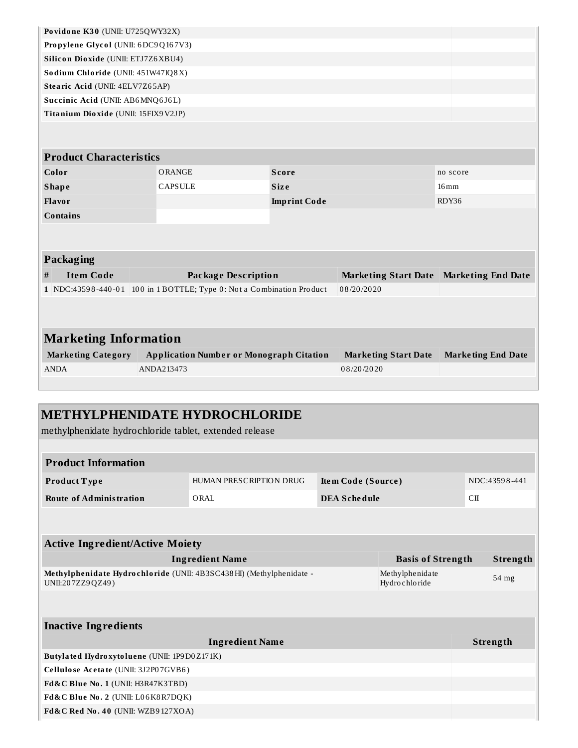|        | Povidone K30 (UNII: U725QWY32X)                                       |                     |                            |                                                 |                             |                           |
|--------|-----------------------------------------------------------------------|---------------------|----------------------------|-------------------------------------------------|-----------------------------|---------------------------|
|        | Propylene Glycol (UNII: 6DC9Q167V3)                                   |                     |                            |                                                 |                             |                           |
|        | Silicon Dioxide (UNII: ETJ7Z6XBU4)                                    |                     |                            |                                                 |                             |                           |
|        | Sodium Chloride (UNII: 451W47IQ8X)                                    |                     |                            |                                                 |                             |                           |
|        | Stearic Acid (UNII: 4ELV7Z65AP)                                       |                     |                            |                                                 |                             |                           |
|        | Succinic Acid (UNII: AB6MNQ6J6L)                                      |                     |                            |                                                 |                             |                           |
|        | Titanium Dioxide (UNII: 15FIX9V2JP)                                   |                     |                            |                                                 |                             |                           |
|        |                                                                       |                     |                            |                                                 |                             |                           |
|        |                                                                       |                     |                            |                                                 |                             |                           |
|        | <b>Product Characteristics</b>                                        |                     |                            |                                                 |                             |                           |
|        | Color                                                                 | <b>ORANGE</b>       |                            | <b>Score</b>                                    |                             | no score                  |
|        | <b>Shape</b>                                                          | <b>CAPSULE</b>      |                            | <b>Size</b>                                     |                             | $16 \,\mathrm{mm}$        |
| Flavor |                                                                       | <b>Imprint Code</b> |                            | RDY36                                           |                             |                           |
|        | <b>Contains</b>                                                       |                     |                            |                                                 |                             |                           |
|        |                                                                       |                     |                            |                                                 |                             |                           |
|        |                                                                       |                     |                            |                                                 |                             |                           |
|        | <b>Packaging</b>                                                      |                     |                            |                                                 |                             |                           |
| #      | <b>Item Code</b>                                                      |                     | <b>Package Description</b> |                                                 | <b>Marketing Start Date</b> | <b>Marketing End Date</b> |
|        | 1 NDC:43598-440-01 100 in 1 BOTTLE; Type 0: Not a Combination Product |                     |                            |                                                 | 08/20/2020                  |                           |
|        |                                                                       |                     |                            |                                                 |                             |                           |
|        |                                                                       |                     |                            |                                                 |                             |                           |
|        | <b>Marketing Information</b>                                          |                     |                            |                                                 |                             |                           |
|        |                                                                       |                     |                            | <b>Application Number or Monograph Citation</b> | <b>Marketing Start Date</b> | <b>Marketing End Date</b> |
|        | <b>Marketing Category</b>                                             |                     |                            |                                                 |                             |                           |
|        | <b>ANDA</b>                                                           | ANDA213473          |                            |                                                 | 08/20/2020                  |                           |
|        |                                                                       |                     |                            |                                                 |                             |                           |
|        |                                                                       |                     |                            |                                                 |                             |                           |

#### **METHYLPHENIDATE HYDROCHLORIDE**

methylphenidate hydrochloride tablet, extended release

| <b>Product Information</b> |                         |                    |               |
|----------------------------|-------------------------|--------------------|---------------|
| <b>Product Type</b>        | HUMAN PRESCRIPTION DRUG | Item Code (Source) | NDC:43598-441 |
| Route of Administration    | ORAL                    | DEA Schedule       | СП            |

| <b>Active Ingredient/Active Moiety</b>                                                  |                                    |          |  |  |
|-----------------------------------------------------------------------------------------|------------------------------------|----------|--|--|
| <b>Ingredient Name</b>                                                                  | <b>Basis of Strength</b>           | Strength |  |  |
| Methylphenidate Hydrochloride (UNII: 4B3SC438HI) (Methylphenidate -<br>UNII:207ZZ9QZ49) | Methylphenidate<br>Hydro chlo ride | $54$ mg  |  |  |
|                                                                                         |                                    |          |  |  |
| <b>Inactive Ingredients</b>                                                             |                                    |          |  |  |

| <b>Ingredient Name</b>                        | Strength |
|-----------------------------------------------|----------|
| Butylated Hydroxytoluene (UNII: 1P9D0Z171K)   |          |
| Cellulose Acetate (UNII: 3J2P07GVB6)          |          |
| Fd&C Blue No. 1 (UNII: H3R47K3TBD)            |          |
| Fd&C Blue No. 2 (UNII: L06K8R7DQK)            |          |
| <b>Fd&amp;C Red No. 40 (UNII: WZB9127XOA)</b> |          |